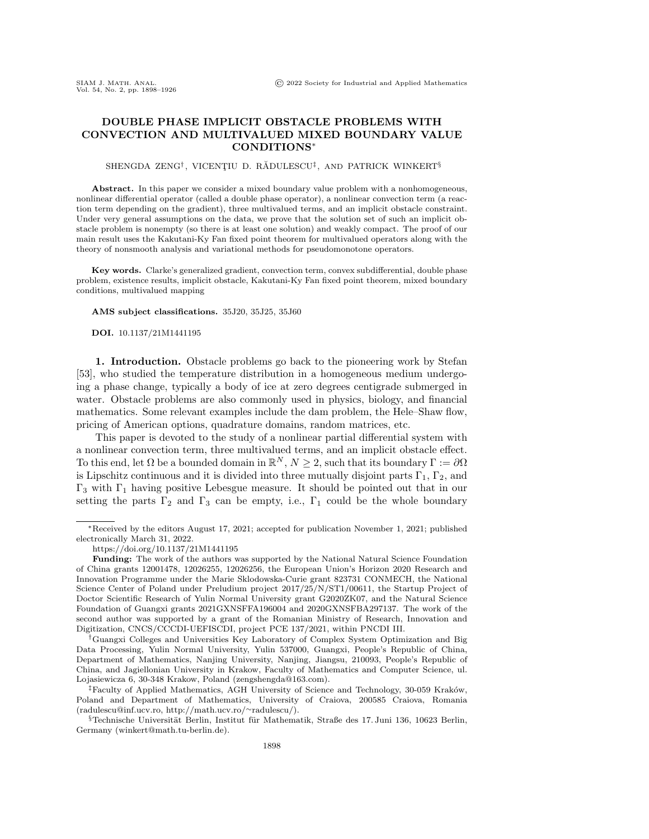## DOUBLE PHASE IMPLICIT OBSTACLE PROBLEMS WITH CONVECTION AND MULTIVALUED MIXED BOUNDARY VALUE CONDITIONS\*

## SHENGDA ZENG<sup>†</sup>, VICENȚIU D. RĂDULESCU<sup>‡</sup>, AND PATRICK WINKERT<sup>§</sup>

Abstract. In this paper we consider a mixed boundary value problem with a nonhomogeneous, nonlinear differential operator (called a double phase operator), a nonlinear convection term (a reaction term depending on the gradient), three multivalued terms, and an implicit obstacle constraint. Under very general assumptions on the data, we prove that the solution set of such an implicit obstacle problem is nonempty (so there is at least one solution) and weakly compact. The proof of our main result uses the Kakutani-Ky Fan fixed point theorem for multivalued operators along with the theory of nonsmooth analysis and variational methods for pseudomonotone operators.

Key words. Clarke's generalized gradient, convection term, convex subdifferential, double phase problem, existence results, implicit obstacle, Kakutani-Ky Fan fixed point theorem, mixed boundary conditions, multivalued mapping

AMS subject classifications. 35J20, 35J25, 35J60

DOI. 10.1137/21M1441195

1. Introduction. Obstacle problems go back to the pioneering work by Stefan [\[53\]](#page-27-0), who studied the temperature distribution in a homogeneous medium undergoing a phase change, typically a body of ice at zero degrees centigrade submerged in water. Obstacle problems are also commonly used in physics, biology, and financial mathematics. Some relevant examples include the dam problem, the Hele-Shaw flow, pricing of American options, quadrature domains, random matrices, etc.

This paper is devoted to the study of a nonlinear partial differential system with a nonlinear convection term, three multivalued terms, and an implicit obstacle effect. To this end, let  $\Omega$  be a bounded domain in  $\mathbb{R}^N, N \geq 2$ , such that its boundary  $\Gamma := \partial \Omega$ is Lipschitz continuous and it is divided into three mutually disjoint parts  $\Gamma_1$ ,  $\Gamma_2$ , and  $\Gamma_3$  with  $\Gamma_1$  having positive Lebesgue measure. It should be pointed out that in our setting the parts  $\Gamma_2$  and  $\Gamma_3$  can be empty, i.e.,  $\Gamma_1$  could be the whole boundary

<sup>\*</sup>Received by the editors August 17, 2021; accepted for publication November 1, 2021; published electronically March 31, 2022.

<https://doi.org/10.1137/21M1441195>

Funding: The work of the authors was supported by the National Natural Science Foundation of China grants 12001478, 12026255, 12026256, the European Union's Horizon 2020 Research and Innovation Programme under the Marie Sklodowska-Curie grant 823731 CONMECH, the National Science Center of Poland under Preludium project 2017/25/N/ST1/00611, the Startup Project of Doctor Scientific Research of Yulin Normal University grant G2020ZK07, and the Natural Science Foundation of Guangxi grants 2021GXNSFFA196004 and 2020GXNSFBA297137. The work of the second author was supported by a grant of the Romanian Ministry of Research, Innovation and Digitization, CNCS/CCCDI-UEFISCDI, project PCE 137/2021, within PNCDI III.

 $\dagger$ Guangxi Colleges and Universities Key Laboratory of Complex System Optimization and Big Data Processing, Yulin Normal University, Yulin 537000, Guangxi, People's Republic of China, Department of Mathematics, Nanjing University, Nanjing, Jiangsu, 210093, People's Republic of China, and Jagiellonian University in Krakow, Faculty of Mathematics and Computer Science, ul. Lojasiewicza 6, 30-348 Krakow, Poland [\(zengshengda@163.com\)](mailto:zengshengda@163.com).

 $\ddagger$ Faculty of Applied Mathematics, AGH University of Science and Technology, 30-059 Kraków, Poland and Department of Mathematics, University of Craiova, 200585 Craiova, Romania [\(radulescu@inf.ucv.ro,](mailto:radulescu@inf.ucv.ro) [http://math.ucv.ro/](http://math.ucv.ro/~radulescu/)~radulescu/).

 $\S$  Technische Universität Berlin, Institut für Mathematik, Straße des 17. Juni 136, 10623 Berlin, Germany [\(winkert@math.tu-berlin.de\)](mailto:winkert@math.tu-berlin.de).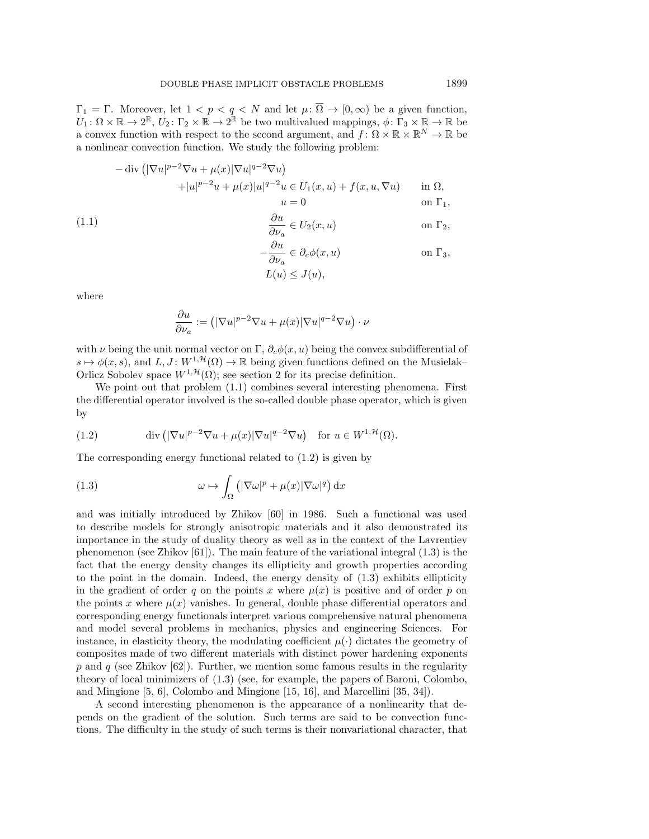$\Gamma_1 = \Gamma$ . Moreover, let  $1 < p < q < N$  and let  $\mu : \overline{\Omega} \to [0, \infty)$  be a given function,  $\overline{U_1} : \Omega \times \mathbb{R} \to 2^{\mathbb{R}}$ ,  $\overline{U_2} : \Gamma_2 \times \mathbb{R} \to 2^{\mathbb{R}}$  be two multivalued mappings,  $\phi : \Gamma_3 \times \mathbb{R} \to \mathbb{R}$  be a convex function with respect to the second argument, and  $f: \Omega \times \Bbb R \times \Bbb R^N \to \Bbb R$  be a nonlinear convection function. We study the following problem:

$$
-\operatorname{div} \left( |\nabla u|^{p-2} \nabla u + \mu(x) |\nabla u|^{q-2} \nabla u \right)
$$
  
 
$$
+ |u|^{p-2} u + \mu(x) |u|^{q-2} u \in U_1(x, u) + f(x, u, \nabla u) \quad \text{in } \Omega,
$$
  
 
$$
u = 0 \quad \text{on } \Gamma_1,
$$

<span id="page-1-0"></span>(1.1) 
$$
\frac{\partial u}{\partial \nu_a} \in U_2(x, u) \qquad \text{on } \Gamma_2,
$$

$$
-\frac{\partial u}{\partial \nu_a} \in \partial_c \phi(x, u) \qquad \text{on } \Gamma_3,
$$

$$
L(u) \leq J(u),
$$

where

$$
\frac{\partial u}{\partial \nu_a} := \left( |\nabla u|^{p-2} \nabla u + \mu(x) |\nabla u|^{q-2} \nabla u \right) \cdot \nu
$$

with  $\nu$  being the unit normal vector on  $\Gamma$ ,  $\partial_c \phi (x, u)$  being the convex subdifferential of  $s \mapsto \phi (x, s)$ , and  $L, J : W^{1, \mathcal{H}} (\Omega ) \rightarrow \mathbb{R}$  being given functions defined on the Musielak-Orlicz Sobolev space  $W^{1,\mathcal{H}}(\Omega)$ ; see section [2](#page-5-0) for its precise definition.

We point out that problem  $(1.1)$  combines several interesting phenomena. First the differential operator involved is the so-called double phase operator, which is given by

<span id="page-1-1"></span>(1.2) 
$$
\operatorname{div} \left( |\nabla u|^{p-2} \nabla u + \mu(x) |\nabla u|^{q-2} \nabla u \right) \quad \text{for } u \in W^{1, \mathcal{H}}(\Omega).
$$

The corresponding energy functional related to [\(1.2\)](#page-1-1) is given by

<span id="page-1-2"></span>(1.3) 
$$
\omega \mapsto \int_{\Omega} \left( |\nabla \omega|^p + \mu(x) |\nabla \omega|^q \right) dx
$$

and was initially introduced by Zhikov [\[60\]](#page-28-0) in 1986. Such a functional was used to describe models for strongly anisotropic materials and it also demonstrated its importance in the study of duality theory as well as in the context of the Lavrentiev phenomenon (see Zhikov [\[61\]](#page-28-1)). The main feature of the variational integral [\(1.3\)](#page-1-2) is the fact that the energy density changes its ellipticity and growth properties according to the point in the domain. Indeed, the energy density of [\(1.3\)](#page-1-2) exhibits ellipticity in the gradient of order q on the points x where  $\mu (x)$  is positive and of order p on the points x where  $\mu (x)$  vanishes. In general, double phase differential operators and corresponding energy functionals interpret various comprehensive natural phenomena and model several problems in mechanics, physics and engineering Sciences. For instance, in elasticity theory, the modulating coefficient  $\mu(\cdot )$  dictates the geometry of composites made of two different materials with distinct power hardening exponents p and q (see Zhikov [\[62\]](#page-28-2)). Further, we mention some famous results in the regularity theory of local minimizers of [\(1.3\)](#page-1-2) (see, for example, the papers of Baroni, Colombo, and Mingione [\[5,](#page-26-0) [6\]](#page-26-1), Colombo and Mingione [\[15,](#page-26-2) [16\]](#page-26-3), and Marcellini [\[35,](#page-27-1) [34\]](#page-27-2)).

A second interesting phenomenon is the appearance of a nonlinearity that depends on the gradient of the solution. Such terms are said to be convection functions. The difficulty in the study of such terms is their nonvariational character, that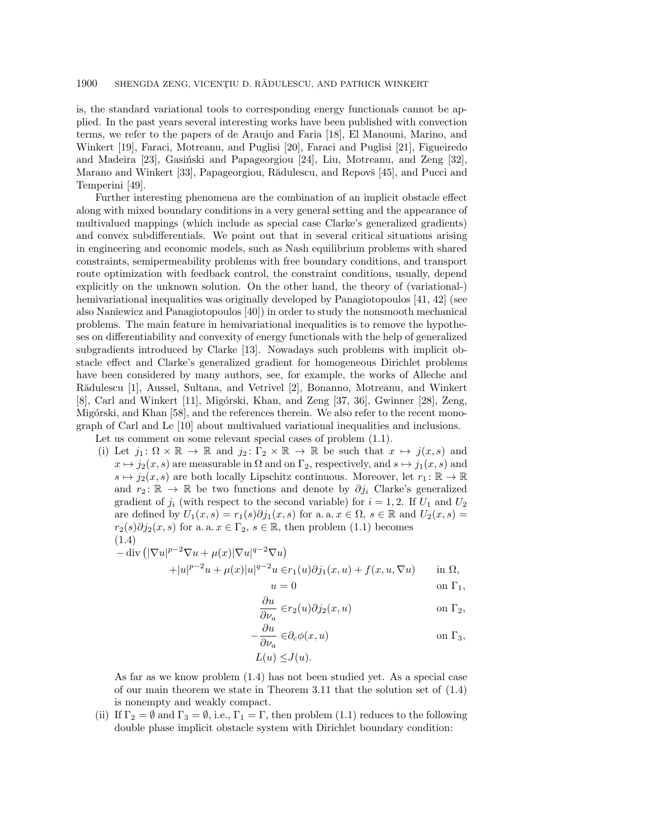is, the standard variational tools to corresponding energy functionals cannot be applied. In the past years several interesting works have been published with convection terms, we refer to the papers of de Araujo and Faria [\[18\]](#page-26-4), El Manouni, Marino, and Winkert [\[19\]](#page-26-5), Faraci, Motreanu, and Puglisi [\[20\]](#page-26-6), Faraci and Puglisi [\[21\]](#page-26-7), Figueiredo and Madeira [\[23\]](#page-26-8), Gasinski and Papageorgiou [\[24\]](#page-26-9), Liu, Motreanu, and Zeng  $[32]$ , Marano and Winkert [\[33\]](#page-27-4), Papageorgiou, Rădulescu, and Repovš [\[45\]](#page-27-5), and Pucci and Temperini [\[49\]](#page-27-6).

Further interesting phenomena are the combination of an implicit obstacle effect along with mixed boundary conditions in a very general setting and the appearance of multivalued mappings (which include as special case Clarke's generalized gradients) and convex subdifferentials. We point out that in several critical situations arising in engineering and economic models, such as Nash equilibrium problems with shared constraints, semipermeability problems with free boundary conditions, and transport route optimization with feedback control, the constraint conditions, usually, depend explicitly on the unknown solution. On the other hand, the theory of (variational-) hemivariational inequalities was originally developed by Panagiotopoulos [\[41,](#page-27-7) [42\]](#page-27-8) (see also Naniewicz and Panagiotopoulos [\[40\]](#page-27-9)) in order to study the nonsmooth mechanical problems. The main feature in hemivariational inequalities is to remove the hypotheses on differentiability and convexity of energy functionals with the help of generalized subgradients introduced by Clarke [\[13\]](#page-26-10). Nowadays such problems with implicit obstacle effect and Clarke's generalized gradient for homogeneous Dirichlet problems have been considered by many authors, see, for example, the works of Alleche and Radulescu [\[1\]](#page-25-0), Aussel, Sultana, and Vetrivel [\[2\]](#page-26-11), Bonanno, Motreanu, and Winkert [\[8\]](#page-26-12), Carl and Winkert [\[11\]](#page-26-13), Migórski, Khan, and Zeng [\[37,](#page-27-10) [36\]](#page-27-11), Gwinner [\[28\]](#page-27-12), Zeng, Migórski, and Khan [\[58\]](#page-28-3), and the references therein. We also refer to the recent monograph of Carl and Le [\[10\]](#page-26-14) about multivalued variational inequalities and inclusions.

Let us comment on some relevant special cases of problem  $(1.1)$ .

(i) Let  $j_1 : \Omega \times \Bbb R \to \Bbb R$  and  $j_2 : \Gamma_2 \times \Bbb R \to \Bbb R$  be such that  $x \mapsto j(x, s)$  and  $x \mapsto j_2(x, s)$  are measurable in  $\Omega$  and on  $\Gamma_2$ , respectively, and  $s \mapsto j_1(x, s)$  and  $s \mapsto j_2(x, s)$  are both locally Lipschitz continuous. Moreover, let  $r_1 : \Bbb R \rightarrow \Bbb R$ and  $r_2 \colon \mathbb{R} \to \mathbb{R}$  be two functions and denote by  $\partial j_i$  Clarke's generalized gradient of  $j_i$  (with respect to the second variable) for  $i = 1, 2$ . If  $U_1$  and  $U_2$ are defined by  $U_1(x, s) = r_1(s)\partial j_1(x, s)$  for a. a.  $x \in \Omega , s \in \mathbb{R}$  and  $U_2(x, s) =$  $r_2(s)\partial j_2(x, s)$  for a. a.  $x \in \Gamma_2, s \in \mathbb{R}$ , then problem [\(1.1\)](#page-1-0) becomes (1.4)

<span id="page-2-0"></span>
$$
-\operatorname{div}\left(|\nabla u|^{p-2}\nabla u + \mu(x)|\nabla u|^{q-2}\nabla u\right) +|u|^{p-2}u + \mu(x)|u|^{q-2}u \in r_1(u)\partial j_1(x,u) + f(x,u,\nabla u) \quad \text{in } \Omega,
$$

$$
u = 0 \qquad \qquad \text{on } \Gamma_1,
$$

$$
\frac{\partial u}{\partial \nu_a} \in r_2(u) \partial j_2(x, u) \qquad \text{on } \Gamma_2,
$$

$$
-\frac{\partial u}{\partial \nu_a} \in \partial_c \phi(x, u) \qquad \text{on } \Gamma_3,
$$

$$
L(u) \leq J(u).
$$

As far as we know problem [\(1.4\)](#page-2-0) has not been studied yet. As a special case of our main theorem we state in Theorem [3.11](#page-25-1) that the solution set of  $(1.4)$ is nonempty and weakly compact.

(ii) If  $\Gamma_2 = \emptyset$  and  $\Gamma_3 = \emptyset$ , i.e.,  $\Gamma_1 = \Gamma$ , then problem [\(1.1\)](#page-1-0) reduces to the following double phase implicit obstacle system with Dirichlet boundary condition: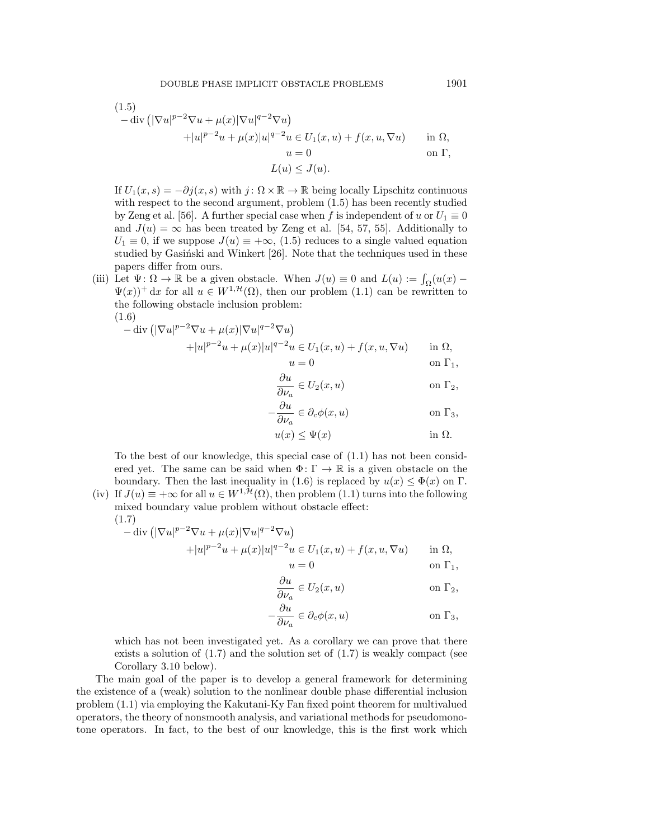<span id="page-3-0"></span>(1.5)  
\n
$$
-\operatorname{div} \left( |\nabla u|^{p-2} \nabla u + \mu(x) |\nabla u|^{q-2} \nabla u \right)
$$
\n
$$
+ |u|^{p-2} u + \mu(x) |u|^{q-2} u \in U_1(x, u) + f(x, u, \nabla u) \quad \text{in } \Omega,
$$
\n
$$
u = 0 \quad \text{on } \Gamma,
$$
\n
$$
L(u) \leq J(u).
$$

If  $U_1(x, s) = -\partial j(x, s)$  with  $j : \Omega \times \mathbb{R} \to \mathbb{R}$  being locally Lipschitz continuous with respect to the second argument, problem [\(1.5\)](#page-3-0) has been recently studied by Zeng et al. [\[56\]](#page-28-4). A further special case when f is independent of u or  $U_1 \equiv 0$ and  $J(u) = \infty$  has been treated by Zeng et al. [\[54,](#page-27-13) [57,](#page-28-5) [55\]](#page-28-6). Additionally to  $U_1 \equiv 0$ , if we suppose  $J(u) \equiv +\infty , (1.5)$  $J(u) \equiv +\infty , (1.5)$  reduces to a single valued equation studied by Gasiński and Winkert  $[26]$ . Note that the techniques used in these papers differ from ours.

(iii) Let  $\Psi : \Omega \rightarrow \mathbb{R}$  be a given obstacle. When  $J(u) \equiv 0$  and  $L(u) := \int_{\Omega} (u(x) \Psi (x)$ <sup>+</sup> dx for all  $u \in W^{1,\mathcal{H}} (\Omega)$ , then our problem [\(1.1\)](#page-1-0) can be rewritten to the following obstacle inclusion problem: (1.6)

<span id="page-3-1"></span>
$$
-\operatorname{div}\left(|\nabla u|^{p-2}\nabla u + \mu(x)|\nabla u|^{q-2}\nabla u\right) +|u|^{p-2}u + \mu(x)|u|^{q-2}u \in U_1(x, u) + f(x, u, \nabla u) \quad \text{in } \Omega,
$$

u = 0 on \Gamma 1, \partial u

$$
\frac{\partial u}{\partial \nu_a} \in U_2(x, u) \qquad \text{on } \Gamma_2,
$$
  

$$
-\frac{\partial u}{\partial \nu} \in \partial_c \phi(x, u) \qquad \text{on } \Gamma_3,
$$

$$
u(x) \le \Psi(x) \qquad \text{in } \Omega.
$$

To the best of our knowledge, this special case of [\(1.1\)](#page-1-0) has not been considered yet. The same can be said when  $\Phi : \Gamma \rightarrow \mathbb{R}$  is a given obstacle on the boundary. Then the last inequality in [\(1.6\)](#page-3-1) is replaced by  $u(x) \leq \Phi (x)$  on  $\Gamma$ .

(iv) If  $J(u) \equiv +\infty$  for all  $u \in W^{1,\mathcal{H}} (\Omega )$ , then problem [\(1.1\)](#page-1-0) turns into the following mixed boundary value problem without obstacle effect: (1.7)

<span id="page-3-2"></span>
$$
- \operatorname{div} \left( |\nabla u|^{p-2} \nabla u + \mu(x) |\nabla u|^{q-2} \nabla u \right) + |u|^{p-2} u + \mu(x) |u|^{q-2} u \in U_1(x, u) + f(x, u, \nabla u) \quad \text{in } \Omega,
$$

$$
u = 0 \qquad \qquad \text{on } \Gamma_1,
$$

$$
\frac{\partial u}{\partial \nu_a} \in U_2(x, u) \qquad \text{on } \Gamma_2,
$$

$$
-\frac{\partial u}{\partial \nu_a} \in \partial_c \phi(x, u) \qquad \text{on } \Gamma_3,
$$

which has not been investigated yet. As a corollary we can prove that there exists a solution of  $(1.7)$  and the solution set of  $(1.7)$  is weakly compact (see Corollary [3.10](#page-24-0) below).

The main goal of the paper is to develop a general framework for determining the existence of a (weak) solution to the nonlinear double phase differential inclusion problem [\(1.1\)](#page-1-0) via employing the Kakutani-Ky Fan fixed point theorem for multivalued operators, the theory of nonsmooth analysis, and variational methods for pseudomonotone operators. In fact, to the best of our knowledge, this is the first work which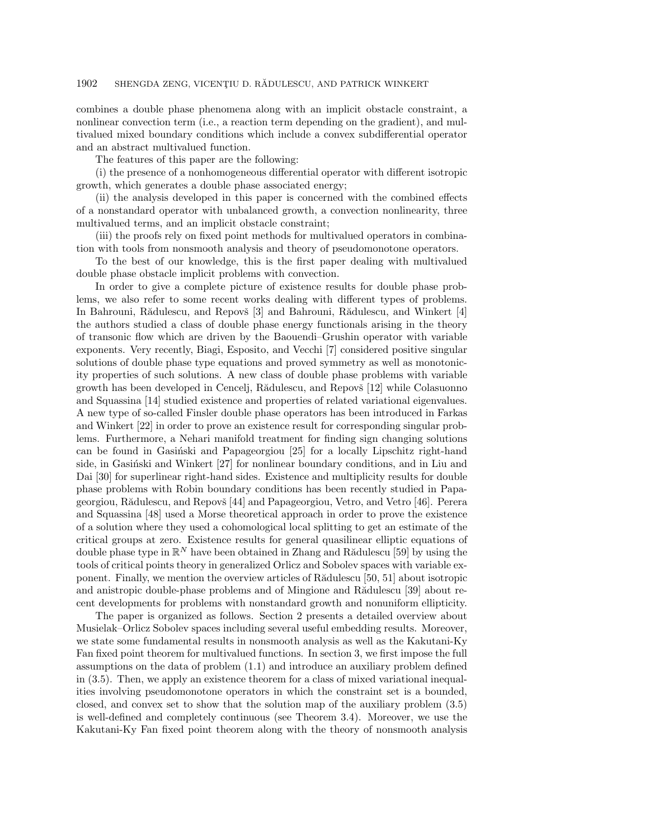combines a double phase phenomena along with an implicit obstacle constraint, a nonlinear convection term (i.e., a reaction term depending on the gradient), and multivalued mixed boundary conditions which include a convex subdifferential operator and an abstract multivalued function.

The features of this paper are the following:

(i) the presence of a nonhomogeneous differential operator with different isotropic growth, which generates a double phase associated energy;

(ii) the analysis developed in this paper is concerned with the combined effects of a nonstandard operator with unbalanced growth, a convection nonlinearity, three multivalued terms, and an implicit obstacle constraint;

(iii) the proofs rely on fixed point methods for multivalued operators in combination with tools from nonsmooth analysis and theory of pseudomonotone operators.

To the best of our knowledge, this is the first paper dealing with multivalued double phase obstacle implicit problems with convection.

In order to give a complete picture of existence results for double phase problems, we also refer to some recent works dealing with different types of problems. In Bahrouni, R $\mathbb{\tilde{A}}$ dulescu, and Repov $\mathbb{\tilde{B}}$  and Bahrouni, R $\mathbb{\tilde{A}}$ dulescu, and Winkert [\[4\]](#page-26-17) the authors studied a class of double phase energy functionals arising in the theory of transonic flow which are driven by the Baouendi--Grushin operator with variable exponents. Very recently, Biagi, Esposito, and Vecchi [\[7\]](#page-26-18) considered positive singular solutions of double phase type equations and proved symmetry as well as monotonicity properties of such solutions. A new class of double phase problems with variable growth has been developed in Cencelj, Rădulescu, and Repovš [\[12\]](#page-26-19) while Colasuonno and Squassina [\[14\]](#page-26-20) studied existence and properties of related variational eigenvalues. A new type of so-called Finsler double phase operators has been introduced in Farkas and Winkert [\[22\]](#page-26-21) in order to prove an existence result for corresponding singular problems. Furthermore, a Nehari manifold treatment for finding sign changing solutions can be found in Gasinski and Papageorgiou [\[25\]](#page-26-22) for a locally Lipschitz right-hand side, in Gasinski and Winkert [\[27\]](#page-26-23) for nonlinear boundary conditions, and in Liu and Dai [\[30\]](#page-27-14) for superlinear right-hand sides. Existence and multiplicity results for double phase problems with Robin boundary conditions has been recently studied in Papa-georgiou, Rădulescu, and Repovš [\[44\]](#page-27-15) and Papageorgiou, Vetro, and Vetro [\[46\]](#page-27-16). Perera and Squassina [\[48\]](#page-27-17) used a Morse theoretical approach in order to prove the existence of a solution where they used a cohomological local splitting to get an estimate of the critical groups at zero. Existence results for general quasilinear elliptic equations of double phase type in  $\mathbb{R}^N$  have been obtained in Zhang and Rădulescu [\[59\]](#page-28-7) by using the tools of critical points theory in generalized Orlicz and Sobolev spaces with variable exponent. Finally, we mention the overview articles of R $\tilde{\rm a}$ dulescu [\[50,](#page-27-18) [51\]](#page-27-19) about isotropic and anistropic double-phase problems and of Mingione and R $\tilde{a}$ dulescu [\[39\]](#page-27-20) about recent developments for problems with nonstandard growth and nonuniform ellipticity.

The paper is organized as follows. Section [2](#page-5-0) presents a detailed overview about Musielak-Orlicz Sobolev spaces including several useful embedding results. Moreover, we state some fundamental results in nonsmooth analysis as well as the Kakutani-Ky Fan fixed point theorem for multivalued functions. In section [3,](#page-9-0) we first impose the full assumptions on the data of problem [\(1.1\)](#page-1-0) and introduce an auxiliary problem defined in [\(3.5\)](#page-12-0). Then, we apply an existence theorem for a class of mixed variational inequalities involving pseudomonotone operators in which the constraint set is a bounded, closed, and convex set to show that the solution map of the auxiliary problem [\(3.5\)](#page-12-0) is well-defined and completely continuous (see Theorem [3.4\)](#page-12-1). Moreover, we use the Kakutani-Ky Fan fixed point theorem along with the theory of nonsmooth analysis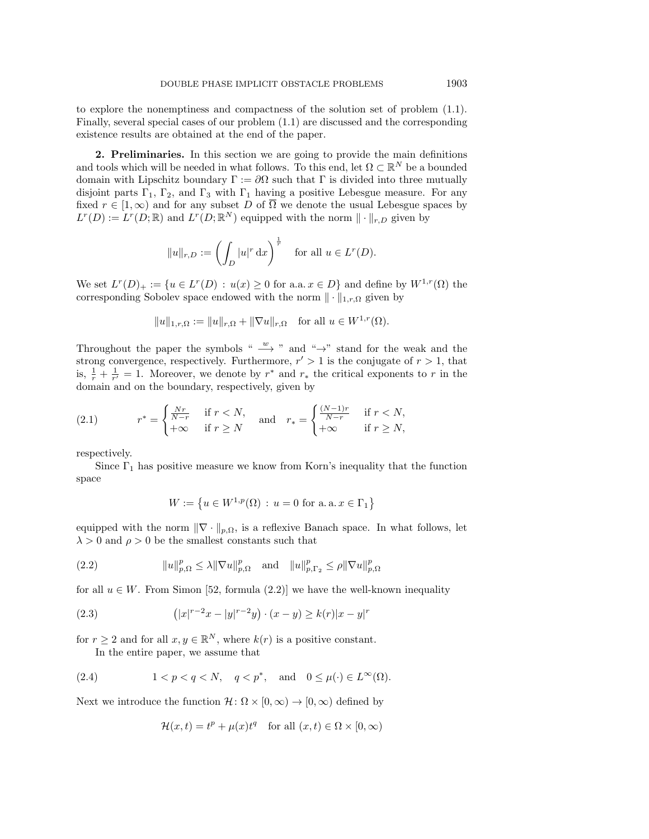to explore the nonemptiness and compactness of the solution set of problem [\(1.1\)](#page-1-0). Finally, several special cases of our problem [\(1.1\)](#page-1-0) are discussed and the corresponding existence results are obtained at the end of the paper.

<span id="page-5-0"></span>2. Preliminaries. In this section we are going to provide the main definitions and tools which will be needed in what follows. To this end, let  $\Omega \subset \mathbb{R}^N$  be a bounded domain with Lipschitz boundary  $\Gamma := \partial \Omega$  such that  $\Gamma$  is divided into three mutually disjoint parts  $\Gamma_1$ ,  $\Gamma_2$ , and  $\Gamma_3$  with  $\Gamma_1$  having a positive Lebesgue measure. For any fixed  $r \in [1, \infty)$  and for any subset D of  $\overline{\Omega}$  we denote the usual Lebesgue spaces by  $L^r(D) := L^r(D; \mathbb{R})$  and  $L^r(D; \mathbb{R}^N)$  equipped with the norm  $\| \cdot \|_{r,D}$  given by

$$
||u||_{r,D} := \left(\int_D |u|^r \,dx\right)^{\frac{1}{r}} \quad \text{for all } u \in L^r(D).
$$

We set  $L^r(D)_+ := \{ u \in L^r(D) : u(x) \geq 0 \text{ for a.a. } x \in D \}$  and define by  $W^{1,r}(\Omega)$  the corresponding Sobolev space endowed with the norm  $\| \cdot \|_{1,r,\Omega}$  given by

$$
||u||_{1,r,\Omega} := ||u||_{r,\Omega} + ||\nabla u||_{r,\Omega}
$$
 for all  $u \in W^{1,r}(\Omega)$ .

Throughout the paper the symbols " $\rightarrow$ " and " $\rightarrow$ " stand for the weak and the strong convergence, respectively. Furthermore,  $r' > 1$  is the conjugate of  $r > 1$ , that is,  $\frac{1}{r} + \frac{1}{r'} = 1$ . Moreover, we denote by  $r^*$  and  $r_*$  the critical exponents to r in the domain and on the boundary, respectively, given by

<span id="page-5-2"></span>(2.1) 
$$
r^* = \begin{cases} \frac{Nr}{N-r} & \text{if } r < N, \\ +\infty & \text{if } r \ge N \end{cases} \text{ and } r_* = \begin{cases} \frac{(N-1)r}{N-r} & \text{if } r < N, \\ +\infty & \text{if } r \ge N, \end{cases}
$$

respectively.

Since  $\Gamma_1$  has positive measure we know from Korn's inequality that the function space

$$
W := \left\{ u \in W^{1,p}(\Omega) \, : \, u = 0 \text{ for a.a. } x \in \Gamma_1 \right\}
$$

equipped with the norm  $\| \nabla \cdot \|_{p,\Omega}$ , is a reflexive Banach space. In what follows, let  $\lambda > 0$  and  $\rho > 0$  be the smallest constants such that

<span id="page-5-4"></span>(2.2) 
$$
||u||_{p,\Omega}^p \le \lambda ||\nabla u||_{p,\Omega}^p \text{ and } ||u||_{p,\Gamma_2}^p \le \rho ||\nabla u||_{p,\Omega}^p
$$

for all  $u \in W$ . From Simon [\[52,](#page-27-21) formula (2.2)] we have the well-known inequality

<span id="page-5-3"></span>(2.3) 
$$
(|x|^{r-2}x - |y|^{r-2}y) \cdot (x - y) \ge k(r)|x - y|^r
$$

for  $r \geq 2$  and for all  $x, y \in \mathbb{R}^N$ , where  $k(r)$  is a positive constant.

In the entire paper, we assume that

<span id="page-5-1"></span>(2.4) 
$$
1 < p < q < N, \quad q < p^*, \quad \text{and} \quad 0 \leq \mu(\cdot) \in L^\infty(\Omega).
$$

Next we introduce the function  $\mathcal{H} : \Omega \times [0, \infty) \rightarrow [0, \infty)$  defined by

$$
\mathcal{H}(x,t) = t^p + \mu(x)t^q \quad \text{for all } (x,t) \in \Omega \times [0,\infty)
$$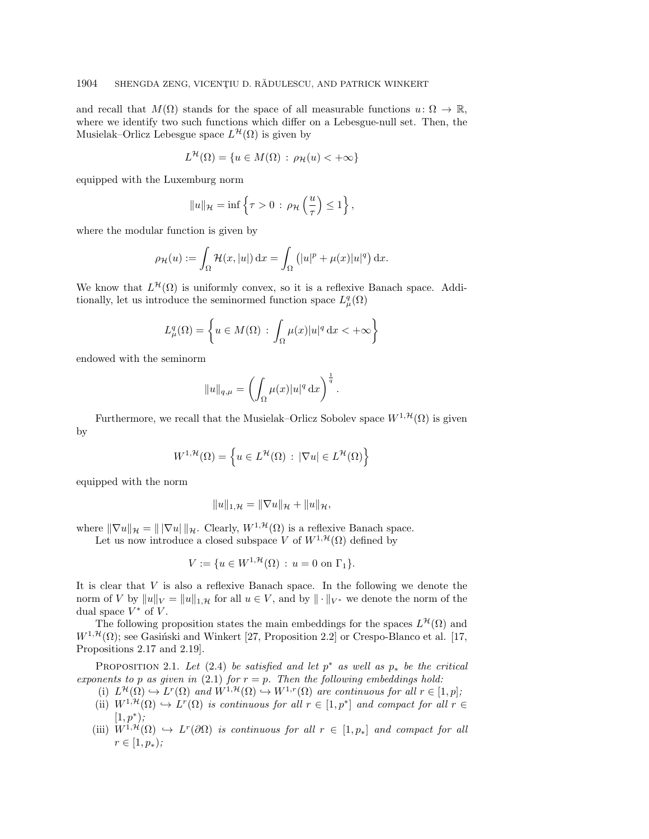and recall that  $M(\Omega)$  stands for the space of all measurable functions  $u: \Omega \rightarrow \Bbb R$ , where we identify two such functions which differ on a Lebesgue-null set. Then, the Musielak–Orlicz Lebesgue space  $L^{\mathcal{H}}(\Omega )$  is given by

$$
L^{\mathcal{H}}(\Omega) = \{ u \in M(\Omega) : \rho_{\mathcal{H}}(u) < +\infty \}
$$

equipped with the Luxemburg norm

$$
||u||_{\mathcal{H}} = \inf \left\{ \tau > 0 \, : \, \rho_{\mathcal{H}} \left( \frac{u}{\tau} \right) \leq 1 \right\},\,
$$

where the modular function is given by

$$
\rho_{\mathcal{H}}(u) := \int_{\Omega} \mathcal{H}(x, |u|) dx = \int_{\Omega} (|u|^p + \mu(x)|u|^q) dx.
$$

We know that  $L^{\mathcal{H}}(\Omega)$  is uniformly convex, so it is a reflexive Banach space. Additionally, let us introduce the seminormed function space  $L^q_\mu(\Omega)$ 

$$
L^q_\mu(\Omega) = \left\{ u \in M(\Omega) : \int_{\Omega} \mu(x) |u|^q \, \mathrm{d}x < +\infty \right\}
$$

endowed with the seminorm

$$
||u||_{q,\mu} = \left(\int_{\Omega} \mu(x)|u|^q dx\right)^{\frac{1}{q}}.
$$

Furthermore, we recall that the Musielak-Orlicz Sobolev space  $W^{1,\mathcal{H}}(\Omega )$  is given by

$$
W^{1,\mathcal{H}}(\Omega) = \left\{ u \in L^{\mathcal{H}}(\Omega) : |\nabla u| \in L^{\mathcal{H}}(\Omega) \right\}
$$

equipped with the norm

$$
||u||_{1,\mathcal{H}} = ||\nabla u||_{\mathcal{H}} + ||u||_{\mathcal{H}},
$$

where  $\| \nabla u\|_{\mathcal{H}} = \| |\nabla u| \|_{\mathcal{H}}$ . Clearly,  $W^{1,\mathcal{H}} (\Omega )$  is a reflexive Banach space.

Let us now introduce a closed subspace V of  $W^{1,\mathcal{H}}(\Omega )$  defined by

$$
V := \{ u \in W^{1, \mathcal{H}}(\Omega) : u = 0 \text{ on } \Gamma_1 \}.
$$

It is clear that V is also a reflexive Banach space. In the following we denote the norm of V by  $\| u \|_V = \| u \|_{1,\mathcal{H}}$  for all  $u \in V$ , and by  $\| \cdot \|_{V^*}$  we denote the norm of the dual space  $V^*$  of V.

The following proposition states the main embeddings for the spaces  $L^{\mathcal{H}}(\Omega)$  and  $W^{1,\mathcal{H}}(\Omega)$ ; see Gasinski and Winkert [\[27,](#page-26-23) Proposition 2.2] or Crespo-Blanco et al. [\[17,](#page-26-24) Propositions 2.17 and 2.19].

<span id="page-6-0"></span>PROPOSITION 2.1. Let [\(2.4\)](#page-5-1) be satisfied and let  $p^*$  as well as  $p_*$  be the critical exponents to p as given in [\(2.1\)](#page-5-2) for  $r = p$ . Then the following embeddings hold:

- (i)  $L^{\mathcal{H}}(\Omega) \hookrightarrow L^r(\Omega)$  and  $W^{1,\mathcal{H}}(\Omega) \hookrightarrow W^{1,r}(\Omega)$  are continuous for all  $r \in [1, p]$ ;
	- (ii)  $W^{1,\mathcal{H}}(\Omega) \hookrightarrow L^r(\Omega)$  is continuous for all  $r \in [1, p^*]$  and compact for all  $r \in$  $[1, p^*);$
	- (iii)  $W^{1,\mathcal{H}}(\Omega) \hookrightarrow L^r(\partial \Omega)$  is continuous for all  $r \in [1, p_*]$  and compact for all  $r \in [1, p_*)$ ;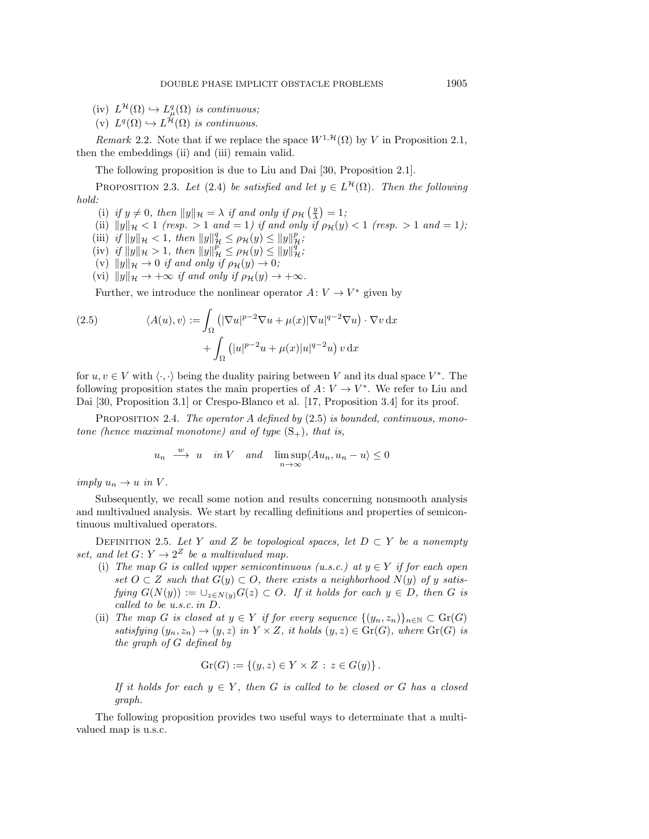- $(iv)$   $L^{\mathcal{H}}(\Omega) \hookrightarrow L_{\mu}^{q}(\Omega)$  is continuous;
- (v)  $L^q(\Omega) \hookrightarrow L^{\mathcal{H}}(\Omega)$  is continuous.

Remark 2.2. Note that if we replace the space  $W^{1,\mathcal{H}}(\Omega )$  by V in Proposition [2.1,](#page-6-0) then the embeddings (ii) and (iii) remain valid.

The following proposition is due to Liu and Dai [\[30,](#page-27-14) Proposition 2.1].

<span id="page-7-1"></span>PROPOSITION 2.3. Let [\(2.4\)](#page-5-1) be satisfied and let  $y \in L^{\mathcal{H}}(\Omega)$ . Then the following hold:

(i) if  $y \neq 0$ , then  $\| y \|_{\mathcal H} = \lambda$  if and only if  $\rho_{\mathcal H} \left( \frac{y}{\lambda} \right) = 1$ ;

(ii) 
$$
||y||_{\mathcal{H}} < 1
$$
 (resp. > 1 and = 1) if and only if  $\rho_{\mathcal{H}}(y) < 1$  (resp. > 1 and = 1);

- (iii) if  $||y||_{\mathcal{H}} < 1$ , then  $||y||_{\mathcal{H}}^q \leq \rho_{\mathcal{H}}(y) \leq ||y||_{\mathcal{H}}^p$ ;
- (iv) if  $\| y \|_{\mathcal{H}} > 1$ , then  $\| y \|_{\mathcal{H}}^p \leq \rho_{\mathcal{H}}(y) \leq \| y \|_{\mathcal{H}}^q$ ;
- (v)  $\| y \|_{\mathcal H} \rightarrow 0$  if and only if  $\rho_{\mathcal H} (y) \rightarrow 0;$
- (vi)  $\| y\|_{\mathcal H} \rightarrow +\infty$  if and only if  $\rho_{\mathcal H} (y) \rightarrow +\infty$ .

Further, we introduce the nonlinear operator  $A: V \rightarrow V^*$  given by

<span id="page-7-0"></span>(2.5) 
$$
\langle A(u), v \rangle := \int_{\Omega} \left( |\nabla u|^{p-2} \nabla u + \mu(x) |\nabla u|^{q-2} \nabla u \right) \cdot \nabla v \, dx + \int_{\Omega} \left( |u|^{p-2} u + \mu(x) |u|^{q-2} u \right) v \, dx
$$

for  $u, v \in V$  with  $\langle \cdot, \cdot \rangle$  being the duality pairing between V and its dual space  $V^*$ . The following proposition states the main properties of  $A: V \rightarrow V^*$ . We refer to Liu and Dai [\[30,](#page-27-14) Proposition 3.1] or Crespo-Blanco et al. [\[17,](#page-26-24) Proposition 3.4] for its proof.

<span id="page-7-3"></span>PROPOSITION 2.4. The operator A defined by  $(2.5)$  is bounded, continuous, monotone (hence maximal monotone) and of type  $(S_+)$ , that is,

$$
u_n \xrightarrow{w} u \quad in \ V \quad and \quad \limsup_{n \to \infty} \langle Au_n, u_n - u \rangle \le 0
$$

imply  $u_n \rightarrow u$  in V.

Subsequently, we recall some notion and results concerning nonsmooth analysis and multivalued analysis. We start by recalling definitions and properties of semicontinuous multivalued operators.

DEFINITION 2.5. Let Y and Z be topological spaces, let  $D \subset Y$  be a nonempty set, and let  $G: Y \rightarrow 2^Z$  be a multivalued map.

- (i) The map G is called upper semicontinuous (u.s.c.) at  $y \in Y$  if for each open set  $O \subset Z$  such that  $G(y) \subset O$ , there exists a neighborhood  $N(y)$  of y satisfying  $G(N(y)) := \bigcup_{z \in N(y)} G(z) \subset O$ . If it holds for each  $y \in D$ , then G is called to be u.s.c. in D.
- (ii) The map G is closed at  $y \in Y$  if for every sequence  $\{ (y_n, z_n)\}_{n\in \mathbb{N}} \subset \text{Gr}(G)$ satisfying  $(y_n, z_n) \rightarrow (y, z)$  in  $Y \times Z$ , it holds  $(y, z) \in \text{Gr}(G)$ , where  $\text{Gr}(G)$  is the graph of G defined by

$$
\operatorname{Gr}(G) := \{ (y, z) \in Y \times Z \, : \, z \in G(y) \} \, .
$$

If it holds for each  $y \in Y$ , then G is called to be closed or G has a closed graph.

<span id="page-7-2"></span>The following proposition provides two useful ways to determinate that a multivalued map is u.s.c.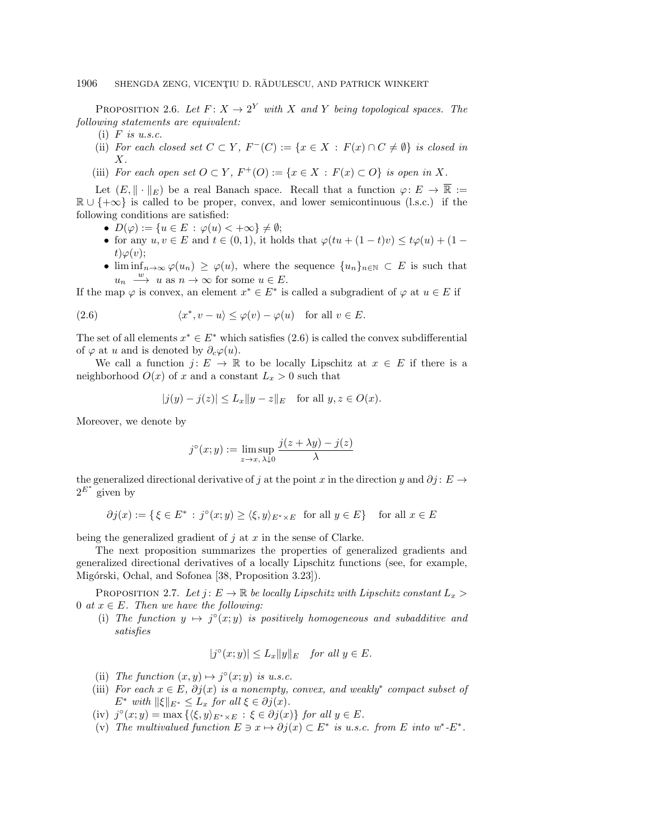PROPOSITION 2.6. Let  $F: X \rightarrow 2^Y$  with X and Y being topological spaces. The following statements are equivalent:

- (i)  $F$  is u.s.c.
- (ii) For each closed set  $C \subset Y$ ,  $F^{-}(C) := \{ x \in X : F(x) \cap C \neq \emptyset \}$  is closed in  $X$ .
- (iii) For each open set  $O \subset Y$ ,  $F^+(O) := \{ x \in X : F(x) \subset O \}$  is open in X.

Let  $(E, \|\cdot \|_E)$  be a real Banach space. Recall that a function  $\varphi : E \rightarrow \overline{\Bbb{R}} :=$  $\mathbb{R} \cup \{ +\infty \}$  is called to be proper, convex, and lower semicontinuous (l.s.c.) if the following conditions are satisfied:

- $\bullet \ D(\varphi ) := \{ u \in E : \varphi (u) < +\infty \} \neq \emptyset;$
- for any  $u, v \in E$  and  $t \in (0, 1)$ , it holds that  $\varphi (tu + (1 t)v) \leq t\varphi (u) + (1$  $t)\varphi (v);$
- $\bullet$  lim inf $n\rightarrow \infty \varphi (u_n) \geq \varphi (u)$ , where the sequence  $\{ u_n\}_{n\in \mathbb{N}} \subset E$  is such that  $u_n \stackrel{w}{\longrightarrow} u$  as  $n \to \infty$  for some  $u \in E$ .

If the map  $\varphi$  is convex, an element  $x^* \in E^*$  is called a subgradient of  $\varphi$  at  $u \in E$  if

<span id="page-8-0"></span>(2.6) 
$$
\langle x^*, v - u \rangle \le \varphi(v) - \varphi(u)
$$
 for all  $v \in E$ .

The set of all elements  $x^* \in E^*$  which satisfies [\(2.6\)](#page-8-0) is called the convex subdifferential of  $\varphi$  at u and is denoted by  $\partial_c \varphi (u)$ .

We call a function  $j: E \rightarrow \Bbb R$  to be locally Lipschitz at  $x \in E$  if there is a neighborhood  $O(x)$  of x and a constant  $L_x > 0$  such that

$$
|j(y) - j(z)| \le L_x \|y - z\|_E
$$
 for all  $y, z \in O(x)$ .

Moreover, we denote by

$$
j^{\circ}(x; y) := \limsup_{z \to x, \, \lambda \downarrow 0} \frac{j(z + \lambda y) - j(z)}{\lambda}
$$

the generalized directional derivative of j at the point x in the direction y and  $\partial j : E \rightarrow$  $2^{E^*}$  given by

$$
\partial j(x) := \{ \xi \in E^* \, : \, j^{\circ}(x; y) \ge \langle \xi, y \rangle_{E^* \times E} \text{ for all } y \in E \} \quad \text{for all } x \in E
$$

being the generalized gradient of  $j$  at  $x$  in the sense of Clarke.

The next proposition summarizes the properties of generalized gradients and generalized directional derivatives of a locally Lipschitz functions (see, for example, Migórski, Ochal, and Sofonea [\[38,](#page-27-22) Proposition 3.23]).

<span id="page-8-1"></span>PROPOSITION 2.7. Let  $j: E \rightarrow \Bbb R$  be locally Lipschitz with Lipschitz constant  $L_x >$ 0 at  $x \in E$ . Then we have the following:

(i) The function  $y \mapsto j^{\circ}(x; y)$  is positively homogeneous and subadditive and satisfies

$$
|j^{\circ}(x;y)| \le L_x \|y\|_E \quad \text{for all } y \in E.
$$

- (ii) The function  $(x, y) \mapsto j^{\circ}(x; y)$  is u.s.c.
- (iii) For each  $x \in E$ ,  $\partial j(x)$  is a nonempty, convex, and weakly<sup>\*</sup> compact subset of  $E^*$  with  $\|\xi\|_{E^*} \leq L_x$  for all  $\xi \in \partial j(x)$ .
- (iv)  $j^{\circ}(x; y) = \max \{ \langle \xi, y \rangle_{E^* \times E} : \xi \in \partial j(x)\}$  for all  $y \in E$ .
- (v) The multivalued function  $E \ni x \mapsto \partial j(x) \subset E^\ast$  is u.s.c. from E into  $w^\ast$ - $E^\ast$ .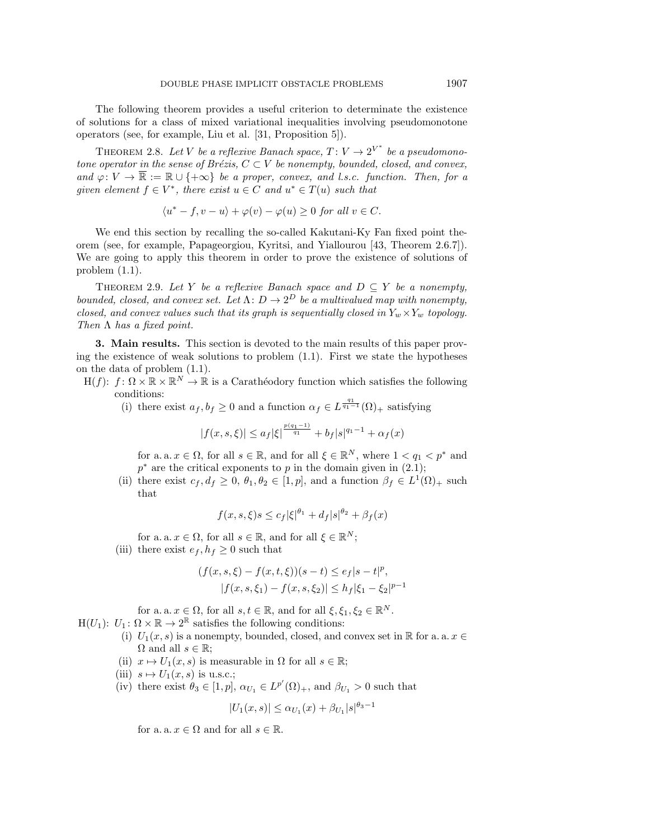The following theorem provides a useful criterion to determinate the existence of solutions for a class of mixed variational inequalities involving pseudomonotone operators (see, for example, Liu et al. [\[31,](#page-27-23) Proposition 5]).

<span id="page-9-1"></span>THEOREM 2.8. Let V be a reflexive Banach space,  $T: V \rightarrow 2^{V^*}$  be a pseudomonotone operator in the sense of Brézis,  $C \subset V$  be nonempty, bounded, closed, and convex, and  $\varphi : V \rightarrow \overline{\Bbb R} := \Bbb R \cup \{ +\infty \}$  be a proper, convex, and l.s.c. function. Then, for a given element  $f \in V^*$ , there exist  $u \in C$  and  $u^* \in T(u)$  such that

$$
\langle u^* - f, v - u \rangle + \varphi(v) - \varphi(u) \ge 0 \text{ for all } v \in C.
$$

We end this section by recalling the so-called Kakutani-Ky Fan fixed point theorem (see, for example, Papageorgiou, Kyritsi, and Yiallourou [\[43,](#page-27-24) Theorem 2.6.7]). We are going to apply this theorem in order to prove the existence of solutions of problem [\(1.1\)](#page-1-0).

<span id="page-9-2"></span>THEOREM 2.9. Let Y be a reflexive Banach space and  $D \subseteq Y$  be a nonempty, bounded, closed, and convex set. Let  $\Lambda : D \rightarrow 2^D$  be a multivalued map with nonempty, closed, and convex values such that its graph is sequentially closed in  $Y_w \times Y_w$  topology. Then  $\Lambda$  has a fixed point.

<span id="page-9-0"></span>3. Main results. This section is devoted to the main results of this paper proving the existence of weak solutions to problem  $(1.1)$ . First we state the hypotheses on the data of problem [\(1.1\)](#page-1-0).

- $H(f): f: \Omega \times \Bbb R \times \Bbb R^N \to \Bbb R$  is a Carather dodory function which satisfies the following conditions:
	- (i) there exist  $a_f, b_f \geq 0$  and a function  $\alpha_f \in L^{\frac{q_1}{q_1 1}}(\Omega)_+$  satisfying

$$
|f(x, s, \xi)| \le a_f |\xi|^{\frac{p(q_1 - 1)}{q_1}} + b_f |s|^{q_1 - 1} + \alpha_f(x)
$$

for a. a.  $x \in \Omega$ , for all  $s \in \mathbb{R}$ , and for all  $\xi \in \mathbb{R}^N$ , where  $1 < q_1 < p^*$  and  $p^*$  are the critical exponents to p in the domain given in [\(2.1\)](#page-5-2);

(ii) there exist  $c_f, d_f \geq 0, \theta_1, \theta_2 \in [1, p]$ , and a function  $\beta_f \in L^1(\Omega)_+$  such that

$$
f(x, s, \xi)s \leq c_f |\xi|^{\theta_1} + d_f |s|^{\theta_2} + \beta_f(x)
$$

for a. a.  $x \in \Omega$ , for all  $s \in \mathbb{R}$ , and for all  $\xi \in \mathbb{R}^N$ ; (iii) there exist  $e_f, h_f \geq 0$  such that

$$
(f(x, s, \xi) - f(x, t, \xi))(s - t) \le e_f |s - t|^p,
$$
  

$$
|f(x, s, \xi_1) - f(x, s, \xi_2)| \le h_f |\xi_1 - \xi_2|^{p-1}
$$

for a. a.  $x \in \Omega$ , for all  $s, t \in \mathbb{R}$ , and for all  $\xi, \xi_1, \xi_2 \in \Bbb R^N$ .

 $H(U_1): U_1: \Omega \times \mathbb{R} \rightarrow 2^{\mathbb{R}}$  satisfies the following conditions:

- (i)  $U_1(x, s)$  is a nonempty, bounded, closed, and convex set in  $\Bbb R$  for a. a.  $x \in$  $\Omega$  and all  $s \in \mathbb{R}$ ;
- (ii)  $x \mapsto U_1(x, s)$  is measurable in  $\Omega$  for all  $s \in \Bbb R$ ;
- (iii)  $s \mapsto U_1(x, s)$  is u.s.c.;
- (iv) there exist  $\theta_3 \in [1, p], \alpha_{U_1} \in L^{p'}(\Omega)_+,$  and  $\beta_{U_1} > 0$  such that

$$
|U_1(x,s)| \le \alpha_{U_1}(x) + \beta_{U_1}|s|^{\theta_3 - 1}
$$

for a. a.  $x \in \Omega$  and for all  $s \in \Bbb R$ .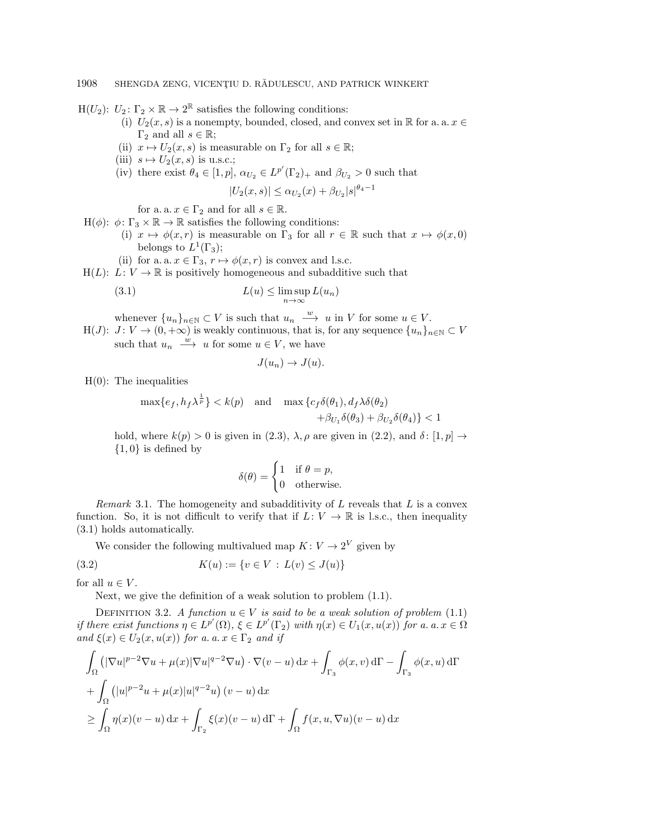$H(U_2)$ :  $U_2$ :  $\Gamma_2 \times \mathbb{R} \rightarrow 2^{\mathbb{R}}$  satisfies the following conditions:

- (i)  $U_2(x, s)$  is a nonempty, bounded, closed, and convex set in  $\Bbb R$  for a. a.  $x \in$  $\Gamma_2$  and all  $s \in \mathbb{R}$ ;
- (ii)  $x \mapsto U_2(x, s)$  is measurable on  $\Gamma_2$  for all  $s \in \Bbb R$ ;
- (iii)  $s \mapsto U_2(x, s)$  is u.s.c.;
- (iv) there exist  $\theta_4 \in [1, p], \alpha_{U_2} \in L^{p'}(\Gamma_2)_+$  and  $\beta_{U_2} > 0$  such that

$$
|U_2(x,s)| \le \alpha_{U_2}(x) + \beta_{U_2}|s|^{\theta_4 - 1}
$$

for a. a.  $x \in \Gamma_2$  and for all  $s \in \Bbb R$ .

- $H(\phi)$ :  $\phi : \Gamma_3 \times \mathbb{R} \rightarrow \mathbb{R}$  satisfies the following conditions:
	- (i)  $x \mapsto \phi (x, r)$  is measurable on  $\Gamma_3$  for all  $r \in \Bbb R$  such that  $x \mapsto \phi (x, 0)$ belongs to  $L^1(\Gamma_3);$
	- (ii) for a. a.  $x \in \Gamma_3, r \mapsto \phi (x, r)$  is convex and l.s.c.
- $H(L): L: V \rightarrow \mathbb{R}$  is positively homogeneous and subadditive such that

<span id="page-10-0"></span>(3.1) 
$$
L(u) \leq \limsup_{n \to \infty} L(u_n)
$$

whenever  $\{ u_n \}_{n \in \mathbb{N}} \subset V$  is such that  $u_n \stackrel{w}{\longrightarrow} u$  in V for some  $u \in V$ .

H(J):  $J: V \rightarrow (0, +\infty )$  is weakly continuous, that is, for any sequence  $\{ u_n \}_{n\in \mathbb{N}} \subset V$ such that  $u_n \stackrel{w}{\longrightarrow} u$  for some  $u \in V$ , we have

$$
J(u_n) \to J(u).
$$

 $H(0)$ : The inequalities

$$
\max\{e_f, h_f\lambda^{\frac{1}{p}}\} < k(p) \quad \text{and} \quad \max\{c_f\delta(\theta_1), d_f\lambda\delta(\theta_2) + \beta_{U_1}\delta(\theta_3) + \beta_{U_2}\delta(\theta_4)\} < 1
$$

hold, where  $k(p) > 0$  is given in [\(2.3\)](#page-5-3),  $\lambda$ ,  $\rho$  are given in [\(2.2\)](#page-5-4), and  $\delta : [1, p] \rightarrow$  $\{ 1, 0\}$  is defined by

$$
\delta(\theta) = \begin{cases} 1 & \text{if } \theta = p, \\ 0 & \text{otherwise.} \end{cases}
$$

<span id="page-10-2"></span>*Remark* 3.1. The homogeneity and subadditivity of  $L$  reveals that  $L$  is a convex function. So, it is not difficult to verify that if  $L: V \rightarrow \mathbb{R}$  is l.s.c., then inequality [\(3.1\)](#page-10-0) holds automatically.

We consider the following multivalued map  $K: V \rightarrow 2^V$  given by

<span id="page-10-1"></span>(3.2) 
$$
K(u) := \{v \in V : L(v) \leq J(u)\}
$$

for all  $u \in V$ .

Next, we give the definition of a weak solution to problem [\(1.1\)](#page-1-0).

<span id="page-10-3"></span>DEFINITION 3.2. A function  $u \in V$  is said to be a weak solution of problem [\(1.1\)](#page-1-0) if there exist functions  $\eta \in L^{p'}(\Omega)$ ,  $\xi \in L^{p'}(\Gamma_2)$  with  $\eta(x) \in U_1(x, u(x))$  for a.  $a. x \in \Omega$ and  $\xi (x) \in U_2(x, u(x))$  for a. a.  $x \in \Gamma_2$  and if

$$
\int_{\Omega} \left( |\nabla u|^{p-2} \nabla u + \mu(x) |\nabla u|^{q-2} \nabla u \right) \cdot \nabla (v - u) \, dx + \int_{\Gamma_3} \phi(x, v) \, d\Gamma - \int_{\Gamma_3} \phi(x, u) \, d\Gamma
$$
\n
$$
+ \int_{\Omega} \left( |u|^{p-2} u + \mu(x) |u|^{q-2} u \right) (v - u) \, dx
$$
\n
$$
\geq \int_{\Omega} \eta(x) (v - u) \, dx + \int_{\Gamma_2} \xi(x) (v - u) \, d\Gamma + \int_{\Omega} f(x, u, \nabla u) (v - u) \, dx
$$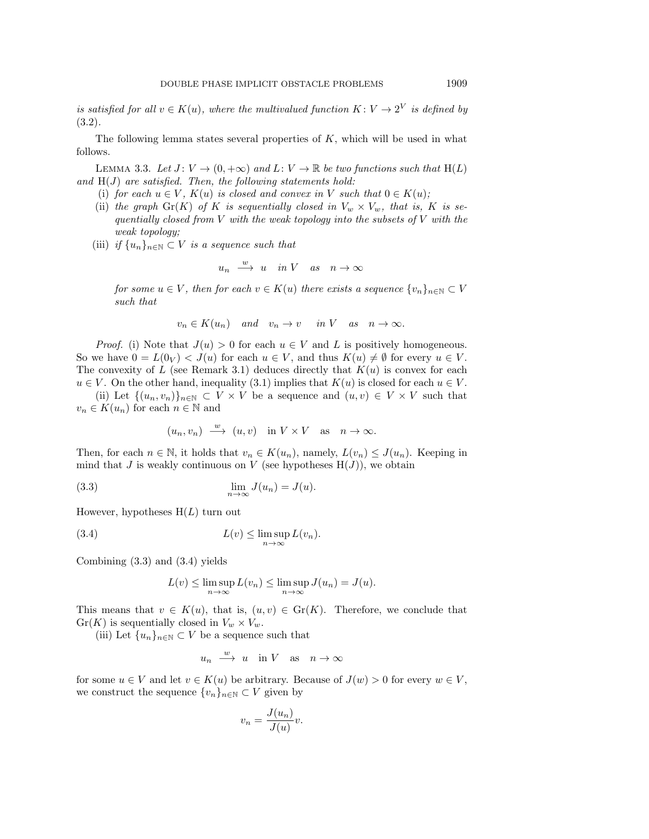is satisfied for all  $v \in K(u)$ , where the multivalued function  $K : V \rightarrow 2^V$  is defined by [\(3.2\)](#page-10-1).

The following lemma states several properties of  $K$ , which will be used in what follows.

<span id="page-11-2"></span>LEMMA 3.3. Let  $J: V \rightarrow (0, +\infty )$  and  $L: V \rightarrow \Bbb R$  be two functions such that  $H(L)$ and  $H(J)$  are satisfied. Then, the following statements hold:

- (i) for each  $u \in V$ ,  $K(u)$  is closed and convex in V such that  $0 \in K(u)$ ;
- (ii) the graph  $\text{Gr}(K)$  of K is sequentially closed in  $V_w \times V_w$ , that is, K is sequentially closed from  $V$  with the weak topology into the subsets of  $V$  with the weak topology;
- (iii) if  $\{ u_n\}_{n\in \mathbb{N}} \subset V$  is a sequence such that

$$
u_n \xrightarrow{w} u \quad in \ V \quad as \quad n \to \infty
$$

for some  $u \in V$ , then for each  $v \in K(u)$  there exists a sequence  $\{ v_n\}_{n\in \mathbb{N}} \subset V$ such that

$$
v_n \in K(u_n)
$$
 and  $v_n \to v$  in V as  $n \to \infty$ .

*Proof.* (i) Note that  $J(u) > 0$  for each  $u \in V$  and L is positively homogeneous. So we have  $0 = L(0_V) < J(u)$  for each  $u \in V$ , and thus  $K(u) \neq \emptyset$  for every  $u \in V$ . The convexity of L (see Remark [3.1\)](#page-10-2) deduces directly that  $K(u)$  is convex for each  $u \in V$ . On the other hand, inequality [\(3.1\)](#page-10-0) implies that  $K(u)$  is closed for each  $u \in V$ .

(ii) Let  $\{ (u_n, v_n)\}_{n\in \mathbb{N}} \subset V \times V$  be a sequence and  $(u, v) \in V \times V$  such that  $v_n \in K(u_n)$  for each  $n \in \Bbb N$  and

$$
(u_n, v_n) \xrightarrow{w} (u, v)
$$
 in  $V \times V$  as  $n \to \infty$ .

Then, for each  $n \in \mathbb{N}$ , it holds that  $v_n \in K(u_n)$ , namely,  $L(v_n) \leq J(u_n)$ . Keeping in mind that J is weakly continuous on V (see hypotheses  $H(J)$ ), we obtain

<span id="page-11-0"></span>(3.3) 
$$
\lim_{n \to \infty} J(u_n) = J(u).
$$

However, hypotheses  $H(L)$  turn out

<span id="page-11-1"></span>(3.4) 
$$
L(v) \leq \limsup_{n \to \infty} L(v_n).
$$

Combining [\(3.3\)](#page-11-0) and [\(3.4\)](#page-11-1) yields

$$
L(v) \le \limsup_{n \to \infty} L(v_n) \le \limsup_{n \to \infty} J(u_n) = J(u).
$$

This means that  $v \in K(u)$ , that is,  $(u, v) \in \text{Gr}(K)$ . Therefore, we conclude that  $Gr(K)$  is sequentially closed in  $V_w \times V_w$ .

(iii) Let  $\{ u_n\}_{n\in \mathbb{N}} \subset V$  be a sequence such that

$$
u_n \xrightarrow{w} u \quad \text{in } V \quad \text{as} \quad n \to \infty
$$

for some  $u \in V$  and let  $v \in K(u)$  be arbitrary. Because of  $J(w) > 0$  for every  $w \in V$ , we construct the sequence  $\{ v_n\}_{n\in \mathbb{N}} \subset V$  given by

$$
v_n = \frac{J(u_n)}{J(u)}v.
$$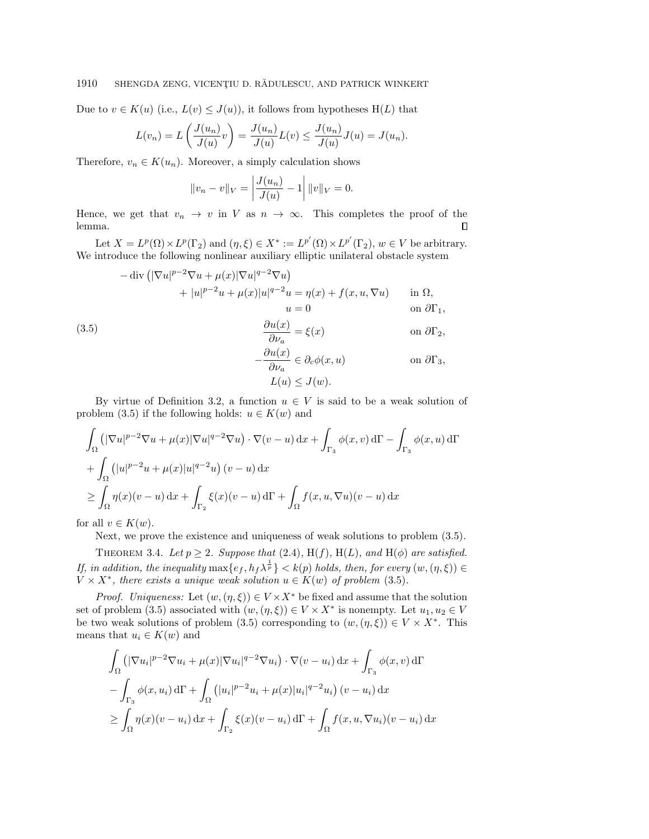## 1910 SHENGDA ZENG, VICENTIU D. RĂDULESCU, AND PATRICK WINKERT

Due to  $v \in K(u)$  (i.e.,  $L(v) \leq J(u)$ ), it follows from hypotheses H(L) that

$$
L(v_n) = L\left(\frac{J(u_n)}{J(u)}v\right) = \frac{J(u_n)}{J(u)}L(v) \le \frac{J(u_n)}{J(u)}J(u) = J(u_n).
$$

Therefore,  $v_n \in K(u_n)$ . Moreover, a simply calculation shows

$$
||v_n - v||_V = \left| \frac{J(u_n)}{J(u)} - 1 \right| ||v||_V = 0.
$$

Hence, we get that  $v_n \rightarrow v$  in V as  $n \rightarrow \infty$ . This completes the proof of the lemma.  $\Box$ 

Let  $X = L^p(\Omega) \times L^p(\Gamma_2)$  and  $(\eta, \xi) \in X^* := L^{p'}(\Omega) \times L^{p'}(\Gamma_2)$ ,  $w \in V$  be arbitrary. We introduce the following nonlinear auxiliary elliptic unilateral obstacle system

<span id="page-12-0"></span>
$$
-\operatorname{div} \left( |\nabla u|^{p-2} \nabla u + \mu(x) |\nabla u|^{q-2} \nabla u \right) \n+ |u|^{p-2} u + \mu(x) |u|^{q-2} u = \eta(x) + f(x, u, \nabla u) \quad \text{in } \Omega, \nu = 0 \quad \text{on } \partial \Gamma_1, \n(3.5) \quad \frac{\partial u(x)}{\partial \nu_a} = \xi(x) \quad \text{on } \partial \Gamma_2, \n- \frac{\partial u(x)}{\partial \nu_a} \in \partial_c \phi(x, u) \quad \text{on } \partial \Gamma_3, \nL(u) \leq J(w).
$$

By virtue of Definition [3.2,](#page-10-3) a function  $u \in V$  is said to be a weak solution of problem [\(3.5\)](#page-12-0) if the following holds:  $u \in K(w)$  and

$$
\int_{\Omega} \left( |\nabla u|^{p-2} \nabla u + \mu(x) |\nabla u|^{q-2} \nabla u \right) \cdot \nabla (v - u) \, dx + \int_{\Gamma_3} \phi(x, v) \, d\Gamma - \int_{\Gamma_3} \phi(x, u) \, d\Gamma
$$
\n
$$
+ \int_{\Omega} \left( |u|^{p-2} u + \mu(x) |u|^{q-2} u \right) (v - u) \, dx
$$
\n
$$
\geq \int_{\Omega} \eta(x) (v - u) \, dx + \int_{\Gamma_2} \xi(x) (v - u) \, d\Gamma + \int_{\Omega} f(x, u, \nabla u) (v - u) \, dx
$$

for all  $v \in K(w)$ .

Next, we prove the existence and uniqueness of weak solutions to problem [\(3.5\)](#page-12-0).

<span id="page-12-1"></span>THEOREM 3.4. Let  $p \geq 2$ . Suppose that [\(2.4\)](#page-5-1), H(f), H(L), and H( $\phi$ ) are satisfied. If, in addition, the inequality  $\max\{ e_f , h_f\lambda^{\frac{1}{p}} \} < k(p)$  holds, then, for every  $(w,(\eta , \xi )) \in$  $V \times X^*$ , there exists a unique weak solution  $u \in K(w)$  of problem [\(3.5\)](#page-12-0).

*Proof.* Uniqueness: Let  $(w, (\eta , \xi )) \in V \times X^*$  be fixed and assume that the solution set of problem [\(3.5\)](#page-12-0) associated with  $(w, (\eta , \xi )) \in V \times X^*$  is nonempty. Let  $u_1, u_2 \in V$ be two weak solutions of problem [\(3.5\)](#page-12-0) corresponding to  $(w, (\eta , \xi )) \in V \times X^*$ . This means that  $u_i \in K(w)$  and

$$
\int_{\Omega} \left( |\nabla u_i|^{p-2} \nabla u_i + \mu(x) |\nabla u_i|^{q-2} \nabla u_i \right) \cdot \nabla (v - u_i) \, dx + \int_{\Gamma_3} \phi(x, v) \, d\Gamma
$$
\n
$$
- \int_{\Gamma_3} \phi(x, u_i) \, d\Gamma + \int_{\Omega} \left( |u_i|^{p-2} u_i + \mu(x) |u_i|^{q-2} u_i \right) (v - u_i) \, dx
$$
\n
$$
\geq \int_{\Omega} \eta(x) (v - u_i) \, dx + \int_{\Gamma_2} \xi(x) (v - u_i) \, d\Gamma + \int_{\Omega} f(x, u, \nabla u_i) (v - u_i) \, dx
$$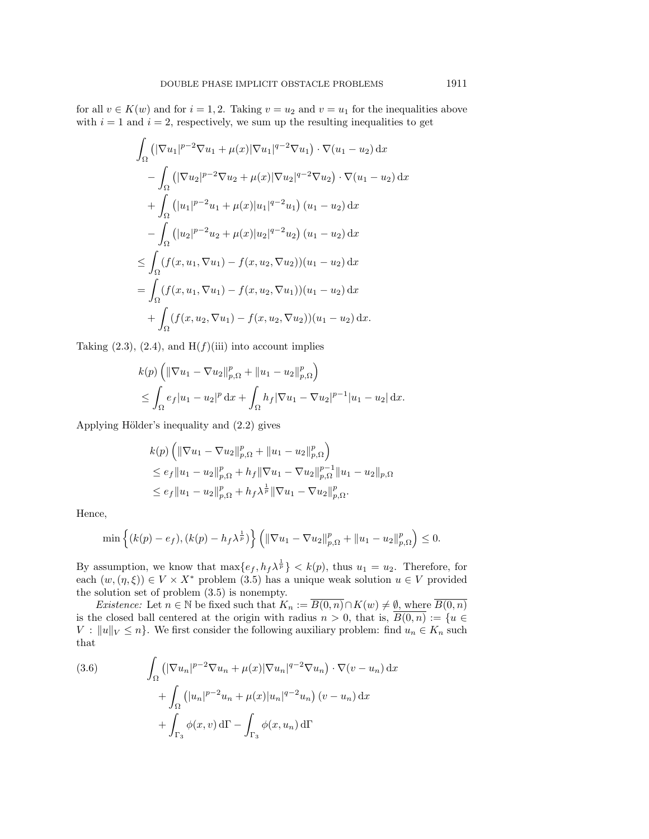for all  $v \in K(w)$  and for  $i = 1, 2$ . Taking  $v = u_2$  and  $v = u_1$  for the inequalities above with  $i = 1$  and  $i = 2$ , respectively, we sum up the resulting inequalities to get

$$
\int_{\Omega} \left( |\nabla u_1|^{p-2} \nabla u_1 + \mu(x) |\nabla u_1|^{q-2} \nabla u_1 \right) \cdot \nabla (u_1 - u_2) \, dx
$$
\n
$$
- \int_{\Omega} \left( |\nabla u_2|^{p-2} \nabla u_2 + \mu(x) |\nabla u_2|^{q-2} \nabla u_2 \right) \cdot \nabla (u_1 - u_2) \, dx
$$
\n
$$
+ \int_{\Omega} \left( |u_1|^{p-2} u_1 + \mu(x) |u_1|^{q-2} u_1 \right) (u_1 - u_2) \, dx
$$
\n
$$
- \int_{\Omega} \left( |u_2|^{p-2} u_2 + \mu(x) |u_2|^{q-2} u_2 \right) (u_1 - u_2) \, dx
$$
\n
$$
\leq \int_{\Omega} (f(x, u_1, \nabla u_1) - f(x, u_2, \nabla u_2)) (u_1 - u_2) \, dx
$$
\n
$$
= \int_{\Omega} (f(x, u_1, \nabla u_1) - f(x, u_2, \nabla u_1)) (u_1 - u_2) \, dx
$$
\n
$$
+ \int_{\Omega} (f(x, u_2, \nabla u_1) - f(x, u_2, \nabla u_2)) (u_1 - u_2) \, dx.
$$

Taking  $(2.3)$ ,  $(2.4)$ , and  $H(f)(iii)$  into account implies

$$
k(p) \left( \|\nabla u_1 - \nabla u_2\|_{p,\Omega}^p + \|u_1 - u_2\|_{p,\Omega}^p \right) \n\leq \int_{\Omega} e_f |u_1 - u_2|^p \, \mathrm{d}x + \int_{\Omega} h_f |\nabla u_1 - \nabla u_2|^{p-1} |u_1 - u_2| \, \mathrm{d}x.
$$

Applying Hölder's inequality and  $(2.2)$  gives

$$
k(p) \left( \|\nabla u_1 - \nabla u_2\|_{p,\Omega}^p + \|u_1 - u_2\|_{p,\Omega}^p \right)
$$
  
\n
$$
\leq e_f \|u_1 - u_2\|_{p,\Omega}^p + h_f \|\nabla u_1 - \nabla u_2\|_{p,\Omega}^{p-1} \|u_1 - u_2\|_{p,\Omega}
$$
  
\n
$$
\leq e_f \|u_1 - u_2\|_{p,\Omega}^p + h_f \lambda^{\frac{1}{p}} \|\nabla u_1 - \nabla u_2\|_{p,\Omega}^p.
$$

Hence,

$$
\min\left\{(k(p)-e_f),(k(p)-h_f\lambda^{\frac{1}{p}})\right\}\left(\|\nabla u_1-\nabla u_2\|_{p,\Omega}^p+\|u_1-u_2\|_{p,\Omega}^p\right)\leq 0.
$$

By assumption, we know that  $\max\{ e_f , h_f\lambda^{\frac{1}{p}} \} < k(p)$ , thus  $u_1 = u_2$ . Therefore, for each  $(w, (\eta , \xi )) \in V \times X^*$  problem [\(3.5\)](#page-12-0) has a unique weak solution  $u \in V$  provided the solution set of problem [\(3.5\)](#page-12-0) is nonempty.

*Existence:* Let  $n \in \Bbb N$  be fixed such that  $K_n := \overline{B(0, n)} \cap K(w) \neq \emptyset$ , where  $\overline{B(0, n)}$ is the closed ball centered at the origin with radius  $n > 0$ , that is,  $\overline{B(0,n)} := \{ u \in$  $V : \| u \|_V \leq n$ . We first consider the following auxiliary problem: find  $u_n \in K_n$  such that

<span id="page-13-0"></span>(3.6) 
$$
\int_{\Omega} \left( |\nabla u_n|^{p-2} \nabla u_n + \mu(x) |\nabla u_n|^{q-2} \nabla u_n \right) \cdot \nabla (v - u_n) \, dx
$$

$$
+ \int_{\Omega} \left( |u_n|^{p-2} u_n + \mu(x) |u_n|^{q-2} u_n \right) (v - u_n) \, dx
$$

$$
+ \int_{\Gamma_3} \phi(x, v) \, d\Gamma - \int_{\Gamma_3} \phi(x, u_n) \, d\Gamma
$$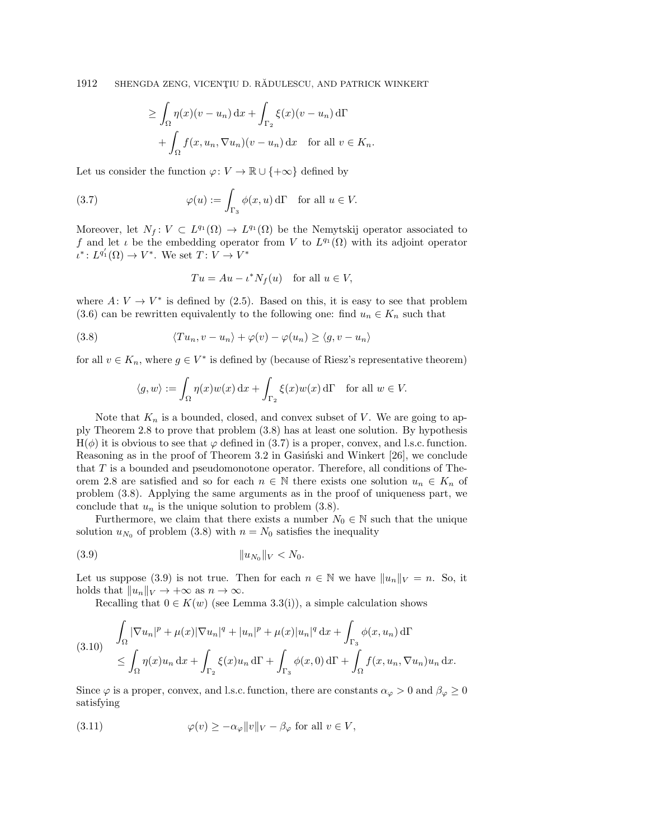$$
\geq \int_{\Omega} \eta(x)(v - u_n) dx + \int_{\Gamma_2} \xi(x)(v - u_n) d\Gamma
$$
  
+ 
$$
\int_{\Omega} f(x, u_n, \nabla u_n)(v - u_n) dx \text{ for all } v \in K_n.
$$

Let us consider the function  $\varphi : V \rightarrow \Bbb{R} \cup \{ +\infty \}$  defined by

<span id="page-14-1"></span>(3.7) 
$$
\varphi(u) := \int_{\Gamma_3} \phi(x, u) d\Gamma \text{ for all } u \in V.
$$

Moreover, let  $N_f : V \subset L^{q_1}(\Omega) \rightarrow L^{q_1}(\Omega)$  be the Nemytskij operator associated to f and let  $\iota$  be the embedding operator from V to  $L^{q_1}(\Omega )$  with its adjoint operator  $\iota^* \colon L^{q'_1}(\Omega) \to V^*$ . We set  $T: V \to V^*$ 

$$
Tu = Au - \iota^* N_f(u) \quad \text{for all } u \in V,
$$

where  $A: V \rightarrow V^*$  is defined by [\(2.5\)](#page-7-0). Based on this, it is easy to see that problem [\(3.6\)](#page-13-0) can be rewritten equivalently to the following one: find  $u_n \in K_n$  such that

<span id="page-14-0"></span>(3.8) 
$$
\langle Tu_n, v - u_n \rangle + \varphi(v) - \varphi(u_n) \ge \langle g, v - u_n \rangle
$$

for all  $v \in K_n$ , where  $g \in V^*$  is defined by (because of Riesz's representative theorem)

$$
\langle g, w \rangle := \int_{\Omega} \eta(x) w(x) \,dx + \int_{\Gamma_2} \xi(x) w(x) \,d\Gamma \quad \text{for all } w \in V.
$$

Note that  $K_n$  is a bounded, closed, and convex subset of V. We are going to apply Theorem [2.8](#page-9-1) to prove that problem [\(3.8\)](#page-14-0) has at least one solution. By hypothesis  $H(\phi )$  it is obvious to see that  $\varphi$  defined in [\(3.7\)](#page-14-1) is a proper, convex, and l.s.c. function. Reasoning as in the proof of Theorem 3.2 in Gasinski and Winkert  $[26]$ , we conclude that T is a bounded and pseudomonotone operator. Therefore, all conditions of The-orem [2.8](#page-9-1) are satisfied and so for each  $n \in \mathbb{N}$  there exists one solution  $u_n \in K_n$  of problem [\(3.8\)](#page-14-0). Applying the same arguments as in the proof of uniqueness part, we conclude that  $u_n$  is the unique solution to problem [\(3.8\)](#page-14-0).

Furthermore, we claim that there exists a number  $N_0 \in \mathbb{N}$  such that the unique solution  $u_{N_0}$  of problem [\(3.8\)](#page-14-0) with  $n = N_0$  satisfies the inequality

<span id="page-14-2"></span>\| uN<sup>0</sup> (3.9) \| <sup>V</sup> < N0.

Let us suppose [\(3.9\)](#page-14-2) is not true. Then for each  $n \in \mathbb{N}$  we have  $\| u_n \|_V = n$ . So, it holds that  $\| u_n \|_V \rightarrow +\infty$  as  $n \rightarrow \infty$ .

Recalling that  $0 \in K(w)$  (see Lemma [3.3\(](#page-11-2)i)), a simple calculation shows

<span id="page-14-4"></span>
$$
(3.10) \int_{\Omega} |\nabla u_n|^p + \mu(x) |\nabla u_n|^q + |u_n|^p + \mu(x) |u_n|^q dx + \int_{\Gamma_3} \phi(x, u_n) d\Gamma
$$
  

$$
\leq \int_{\Omega} \eta(x) u_n dx + \int_{\Gamma_2} \xi(x) u_n d\Gamma + \int_{\Gamma_3} \phi(x, 0) d\Gamma + \int_{\Omega} f(x, u_n, \nabla u_n) u_n dx.
$$

Since  $\varphi$  is a proper, convex, and l.s.c. function, there are constants  $\alpha_\varphi > 0$  and  $\beta_\varphi \geq 0$ satisfying

<span id="page-14-3"></span>(3.11) 
$$
\varphi(v) \ge -\alpha_{\varphi} ||v||_V - \beta_{\varphi} \text{ for all } v \in V,
$$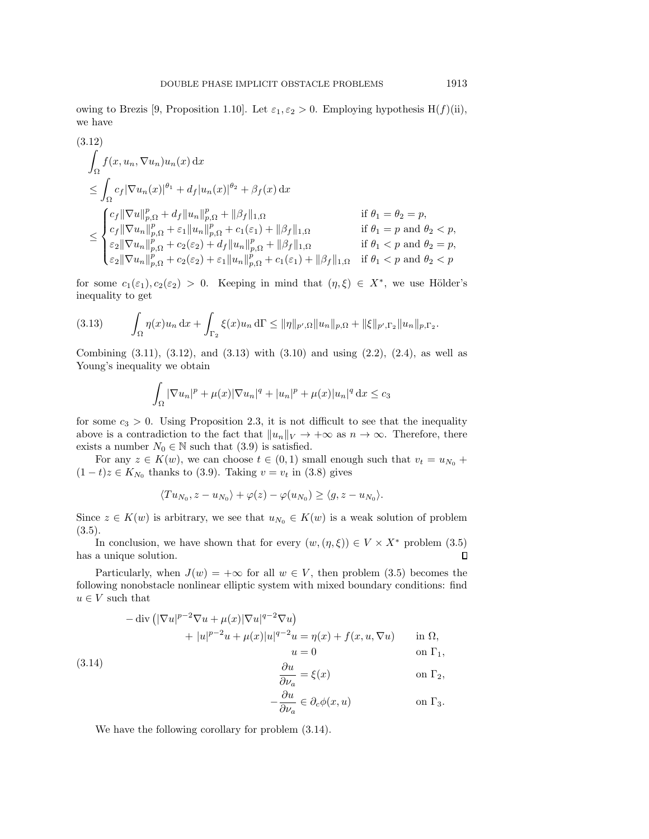owing to Brezis [\[9,](#page-26-25) Proposition 1.10]. Let  $\varepsilon_1, \varepsilon_2 > 0$ . Employing hypothesis H(f)(ii), we have

<span id="page-15-0"></span>
$$
(3.12)
$$
\n
$$
\int_{\Omega} f(x, u_n, \nabla u_n) u_n(x) dx
$$
\n
$$
\leq \int_{\Omega} c_f |\nabla u_n(x)|^{\theta_1} + d_f |u_n(x)|^{\theta_2} + \beta_f(x) dx
$$
\n
$$
\leq \begin{cases}\n c_f ||\nabla u||_{p,\Omega}^p + d_f ||u_n||_{p,\Omega}^p + ||\beta_f||_{1,\Omega} & \text{if } \theta_1 = \theta_2 = p, \\
 c_f ||\nabla u_n||_{p,\Omega}^p + \varepsilon_1 ||u_n||_{p,\Omega}^p + c_1(\varepsilon_1) + ||\beta_f||_{1,\Omega} & \text{if } \theta_1 = p \text{ and } \theta_2 < p, \\
\varepsilon_2 ||\nabla u_n||_{p,\Omega}^p + c_2(\varepsilon_2) + d_f ||u_n||_{p,\Omega}^p + ||\beta_f||_{1,\Omega} & \text{if } \theta_1 < p \text{ and } \theta_2 = p, \\
\varepsilon_2 ||\nabla u_n||_{p,\Omega}^p + c_2(\varepsilon_2) + \varepsilon_1 ||u_n||_{p,\Omega}^p + c_1(\varepsilon_1) + ||\beta_f||_{1,\Omega} & \text{if } \theta_1 < p \text{ and } \theta_2 < p.\n\end{cases}
$$

for some  $c_1(\varepsilon_1), c_2(\varepsilon_2) > 0$ . Keeping in mind that  $(\eta, \xi) \in X^*$ , we use Hölder's inequality to get

<span id="page-15-1"></span>
$$
(3.13) \qquad \int_{\Omega} \eta(x)u_n \, dx + \int_{\Gamma_2} \xi(x)u_n \, d\Gamma \le ||\eta||_{p',\Omega} ||u_n||_{p,\Omega} + ||\xi||_{p',\Gamma_2} ||u_n||_{p,\Gamma_2}.
$$

Combining  $(3.11)$ ,  $(3.12)$ , and  $(3.13)$  with  $(3.10)$  and using  $(2.2)$ ,  $(2.4)$ , as well as Young's inequality we obtain

$$
\int_{\Omega} |\nabla u_n|^p + \mu(x)|\nabla u_n|^q + |u_n|^p + \mu(x)|u_n|^q dx \le c_3
$$

for some  $c_3 > 0$ . Using Proposition [2.3,](#page-7-1) it is not difficult to see that the inequality above is a contradiction to the fact that  $\| u_n \|_V \rightarrow +\infty$  as  $n \rightarrow \infty$ . Therefore, there exists a number  $N_0 \in \mathbb{N}$  such that [\(3.9\)](#page-14-2) is satisfied.

For any  $z \in K(w)$ , we can choose  $t \in (0, 1)$  small enough such that  $v_t = u_{N_0} +$  $(1-t)z \in K_{N_0}$  thanks to [\(3.9\)](#page-14-2). Taking  $v = v_t$  in [\(3.8\)](#page-14-0) gives

$$
\langle Tu_{N_0}, z - u_{N_0} \rangle + \varphi(z) - \varphi(u_{N_0}) \ge \langle g, z - u_{N_0} \rangle.
$$

Since  $z \in K(w)$  is arbitrary, we see that  $u_{N_0} \in K(w)$  is a weak solution of problem  $(3.5).$  $(3.5).$ 

In conclusion, we have shown that for every  $(w,(\eta , \xi )) \in V \times X^*$  problem [\(3.5\)](#page-12-0) has a unique solution.  $\Box$ 

Particularly, when  $J(w) = +\infty$  for all  $w \in V$ , then problem [\(3.5\)](#page-12-0) becomes the following nonobstacle nonlinear elliptic system with mixed boundary conditions: find  $u \in V$  such that

<span id="page-15-2"></span>
$$
-\operatorname{div} \left( |\nabla u|^{p-2} \nabla u + \mu(x) |\nabla u|^{q-2} \nabla u \right)
$$
  
+ 
$$
|u|^{p-2} u + \mu(x) |u|^{q-2} u = \eta(x) + f(x, u, \nabla u) \quad \text{in } \Omega,
$$
  

$$
u = 0 \quad \text{on } \Gamma_1,
$$
  
(3.14)

$$
\frac{\partial u}{\partial \nu_a} = \xi(x) \qquad \text{on } \Gamma_2,
$$
  

$$
\frac{\partial u}{\partial u} = \xi(x) \qquad \text{on } \Gamma_2,
$$

$$
-\frac{\partial u}{\partial \nu_a} \in \partial_c \phi(x, u) \qquad \text{on } \Gamma_3.
$$

We have the following corollary for problem [\(3.14\)](#page-15-2).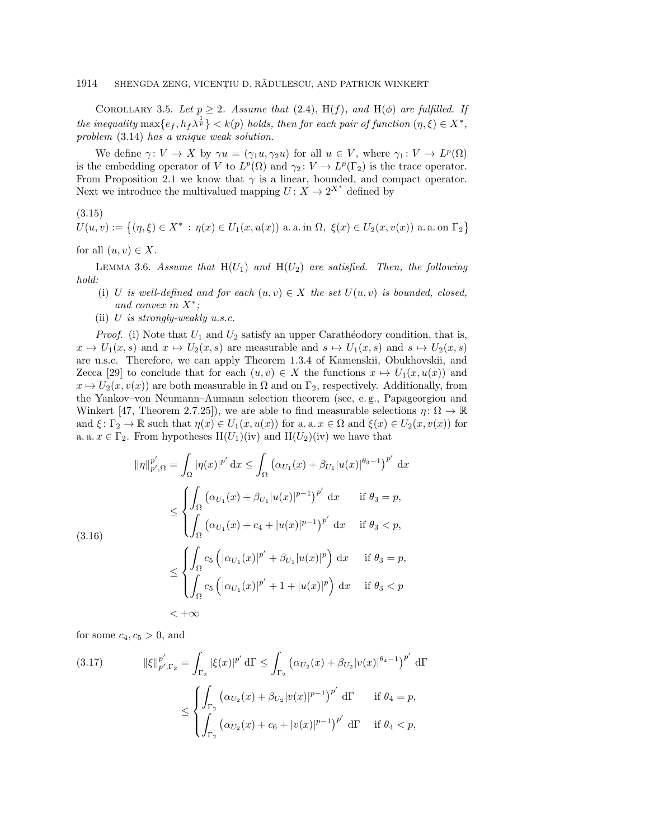COROLLARY 3.5. Let  $p \geq 2$ . Assume that [\(2.4\)](#page-5-1), H(f), and H( $\phi$ ) are fulfilled. If the inequality  $\max\{ e_f , h_f \lambda^{\frac{1}{p}} \} < k(p)$  holds, then for each pair of function  $(\eta , \xi ) \in X^*$ , problem [\(3.14\)](#page-15-2) has a unique weak solution.

We define  $\gamma : V \rightarrow X$  by  $\gamma u = (\gamma_1 u, \gamma_2 u)$  for all  $u \in V$ , where  $\gamma_1 : V \rightarrow L^p(\Omega)$ is the embedding operator of V to  $L^p(\Omega)$  and  $\gamma_2 : V \to L^p(\Gamma_2)$  is the trace operator. From Proposition [2.1](#page-6-0) we know that  $\gamma$  is a linear, bounded, and compact operator. Next we introduce the multivalued mapping  $U: X \rightarrow 2^{X^*}$  defined by

<span id="page-16-2"></span>(3.15)

 $U(u, v) := \big\{ (\eta, \xi) \in X^* \, : \, \eta(x) \in U_1(x, u(x)) \text{ a.a. in } \Omega, \, \xi(x) \in U_2(x, v(x)) \text{ a. a. on } \Gamma_2 \big\}$ 

for all  $(u, v) \in X$ .

<span id="page-16-3"></span>LEMMA 3.6. Assume that  $H(U_1)$  and  $H(U_2)$  are satisfied. Then, the following hold:

- (i) U is well-defined and for each  $(u, v) \in X$  the set  $U(u, v)$  is bounded, closed, and convex in  $X^*$ ;
- (ii)  $U$  is strongly-weakly u.s.c.

*Proof.* (i) Note that  $U_1$  and  $U_2$  satisfy an upper Caratheodory condition, that is,  $x \mapsto \mathcal{U}_1(x, s)$  and  $x \mapsto \mathcal{U}_2(x, s)$  are measurable and  $s \mapsto \mathcal{U}_1(x, s)$  and  $s \mapsto \mathcal{U}_2(x, s)$ are u.s.c. Therefore, we can apply Theorem 1.3.4 of Kamenskii, Obukhovskii, and Zecca [\[29\]](#page-27-25) to conclude that for each  $(u, v) \in X$  the functions  $x \mapsto U_1(x, u(x))$  and  $x \mapsto U_2(x, v(x))$  are both measurable in  $\Omega$  and on  $\Gamma_2$ , respectively. Additionally, from the Yankov-von Neumann-Aumann selection theorem (see, e.g., Papageorgiou and Winkert [\[47,](#page-27-26) Theorem 2.7.25]), we are able to find measurable selections  $\eta : \Omega \rightarrow \mathbb{R}$ and  $\xi : \Gamma_2 \rightarrow \Bbb R$  such that  $\eta (x) \in U_1(x, u(x))$  for a. a.  $x \in \Omega$  and  $\xi (x) \in U_2(x, v(x))$  for a. a.  $x \in \Gamma_2$ . From hypotheses H(U<sub>1</sub>)(iv) and H(U<sub>2</sub>)(iv) we have that

$$
\|\eta\|_{p',\Omega}^{p'} = \int_{\Omega} |\eta(x)|^{p'} dx \le \int_{\Omega} \left(\alpha_{U_1}(x) + \beta_{U_1}|u(x)|^{\theta_3 - 1}\right)^{p'} dx
$$
  
\n
$$
\le \begin{cases} \int_{\Omega} \left(\alpha_{U_1}(x) + \beta_{U_1}|u(x)|^{p-1}\right)^{p'} dx & \text{if } \theta_3 = p, \\ \int_{\Omega} \left(\alpha_{U_1}(x) + c_4 + |u(x)|^{p-1}\right)^{p'} dx & \text{if } \theta_3 < p, \end{cases}
$$
  
\n
$$
\le \begin{cases} \int_{\Omega} c_5 \left(\left|\alpha_{U_1}(x)\right|^{p'} + \beta_{U_1}|u(x)|^p\right) dx & \text{if } \theta_3 = p, \\ \int_{\Omega} c_5 \left(\left|\alpha_{U_1}(x)\right|^{p'} + 1 + |u(x)|^p\right) dx & \text{if } \theta_3 < p \end{cases}
$$
  
\n
$$
< +\infty
$$

<span id="page-16-0"></span>

for some  $c_4$ ,  $c_5 > 0$ , and

<span id="page-16-1"></span>(3.17) 
$$
\|\xi\|_{p',\Gamma_2}^{p'} = \int_{\Gamma_2} |\xi(x)|^{p'} d\Gamma \le \int_{\Gamma_2} (\alpha_{U_2}(x) + \beta_{U_2}|v(x)|^{\theta_4 - 1})^{p'} d\Gamma
$$

$$
\le \begin{cases} \int_{\Gamma_2} (\alpha_{U_2}(x) + \beta_{U_2}|v(x)|^{p-1})^{p'} d\Gamma & \text{if } \theta_4 = p, \\ \int_{\Gamma_2} (\alpha_{U_2}(x) + c_6 + |v(x)|^{p-1})^{p'} d\Gamma & \text{if } \theta_4 < p, \end{cases}
$$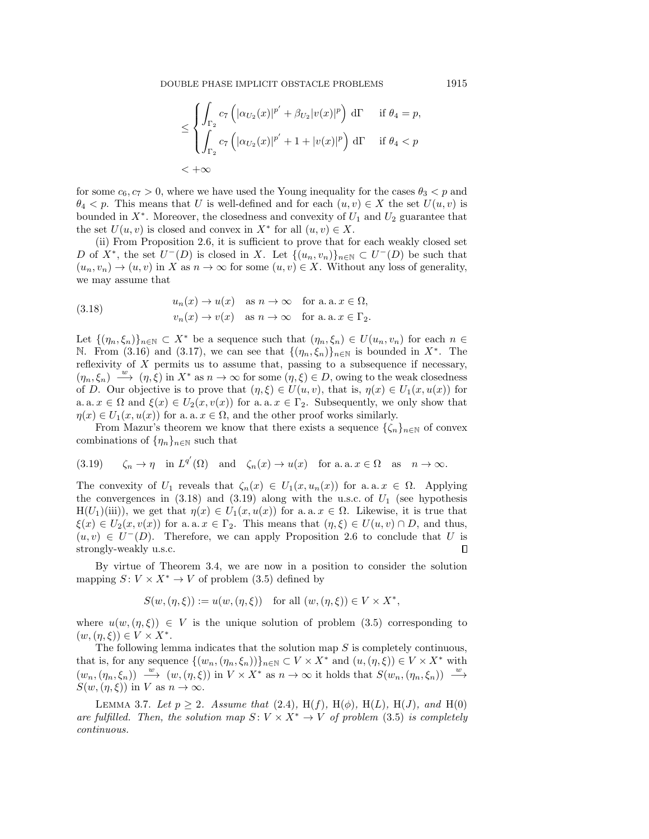$$
\leq \begin{cases} \int_{\Gamma_2} c_7 \left( |\alpha_{U_2}(x)|^{p'} + \beta_{U_2} |v(x)|^p \right) d\Gamma & \text{if } \theta_4 = p, \\ \int_{\Gamma_2} c_7 \left( |\alpha_{U_2}(x)|^{p'} + 1 + |v(x)|^p \right) d\Gamma & \text{if } \theta_4 < p \\ < +\infty & \end{cases}
$$

for some  $c_6, c_7 > 0$ , where we have used the Young inequality for the cases  $\theta_3 < p$  and  $\theta_4$  < p. This means that U is well-defined and for each  $(u, v) \in X$  the set  $U(u, v)$  is bounded in  $X^*$ . Moreover, the closedness and convexity of  $U_1$  and  $U_2$  guarantee that the set  $U(u, v)$  is closed and convex in  $X^*$  for all  $(u, v) \in X$ .

(ii) From Proposition [2.6,](#page-7-2) it is sufficient to prove that for each weakly closed set D of  $X^*$ , the set  $U^-(D)$  is closed in X. Let  $\{ (u_n, v_n)\}_{n\in \mathbb{N}} \subset U^-(D)$  be such that  $(u_n, v_n) \rightarrow (u, v)$  in X as  $n \rightarrow \infty$  for some  $(u, v) \in X$ . Without any loss of generality, we may assume that

<span id="page-17-0"></span>(3.18) 
$$
u_n(x) \to u(x) \text{ as } n \to \infty \text{ for a. a. } x \in \Omega,
$$

$$
v_n(x) \to v(x) \text{ as } n \to \infty \text{ for a. a. } x \in \Gamma_2.
$$

Let  $\{ (\eta_n, \xi_n)\}_{n\in \mathbb N} \subset X^*$  be a sequence such that  $(\eta_n, \xi_n) \in U(u_n, v_n)$  for each  $n \in \mathbb N$ N. From [\(3.16\)](#page-16-0) and [\(3.17\)](#page-16-1), we can see that  $\{ (\eta_n, \xi_n)\}_{n\in \mathbb{N}}$  is bounded in  $X^*$ . The reflexivity of  $X$  permits us to assume that, passing to a subsequence if necessary,  $(\eta_n, \xi_n) \stackrel{\cdot w}{\longrightarrow} (\eta, \xi)$  in  $X^*$  as  $n \to \infty$  for some  $(\eta, \xi) \in D$ , owing to the weak closedness of D. Our objective is to prove that  $(\eta , \xi ) \in U(u, v)$ , that is,  $\eta (x) \in U_1(x, u(x))$  for a. a.  $x \in \Omega$  and  $\xi (x) \in U_2(x, v(x))$  for a. a.  $x \in \Gamma_2$ . Subsequently, we only show that  $\eta (x) \in U_1(x, u(x))$  for a. a.  $x \in \Omega$ , and the other proof works similarly.

From Mazur's theorem we know that there exists a sequence  $\{ \zeta_n \}_{n\in \mathbb{N}}$  of convex combinations of  $\{ \eta_n\}_{n\in \mathbb{N}}$  such that

<span id="page-17-1"></span>(3.19) 
$$
\zeta_n \to \eta
$$
 in  $L^{q'}(\Omega)$  and  $\zeta_n(x) \to u(x)$  for a.a.  $x \in \Omega$  as  $n \to \infty$ .

The convexity of  $U_1$  reveals that  $\zeta_n(x) \in U_1(x, u_n(x))$  for a. a.  $x \in \Omega$ . Applying the convergences in  $(3.18)$  and  $(3.19)$  along with the u.s.c. of  $U_1$  (see hypothesis  $H(U_1)(iii)$ , we get that  $\eta (x) \in U_1(x, u(x))$  for a. a.  $x \in \Omega$ . Likewise, it is true that  $\xi (x) \in U_2(x, v(x))$  for a. a.  $x \in \Gamma_2$ . This means that  $(\eta , \xi ) \in U(u, v) \cap D$ , and thus,  $(u, v) \in U^{-1}(D)$ . Therefore, we can apply Proposition [2.6](#page-7-2) to conclude that U is strongly-weakly u.s.c. П

By virtue of Theorem [3.4,](#page-12-1) we are now in a position to consider the solution mapping  $S: V \times X^* \rightarrow V$  of problem [\(3.5\)](#page-12-0) defined by

$$
S(w, (\eta, \xi)) := u(w, (\eta, \xi)) \quad \text{for all } (w, (\eta, \xi)) \in V \times X^*,
$$

where  $u(w, (\eta , \xi )) \in V$  is the unique solution of problem [\(3.5\)](#page-12-0) corresponding to  $(w, (\eta, \xi)) \in V \times X^*$ .

The following lemma indicates that the solution map  $S$  is completely continuous, that is, for any sequence  $\{ (w_n,(\eta_n, \xi_n))\}_{n\in \mathbb{N}} \subset V \times X^*$  and  $(u,(\eta , \xi )) \in V \times X^*$  with  $(w_n, (\eta_n, \xi_n)) \stackrel{w}{\longrightarrow} (w, (\eta, \xi))$  in  $V \times X^*$  as  $n \to \infty$  it holds that  $S(w_n, (\eta_n, \xi_n)) \stackrel{w}{\longrightarrow}$  $S(w, (\eta, \xi))$  in V as  $n \rightarrow \infty$ .

<span id="page-17-2"></span>LEMMA 3.7. Let  $p \geq 2$ . Assume that [\(2.4\)](#page-5-1), H(f), H( $\phi$ ), H(L), H(J), and H(0) are fulfilled. Then, the solution map  $S: V \times X^* \rightarrow V$  of problem [\(3.5\)](#page-12-0) is completely continuous.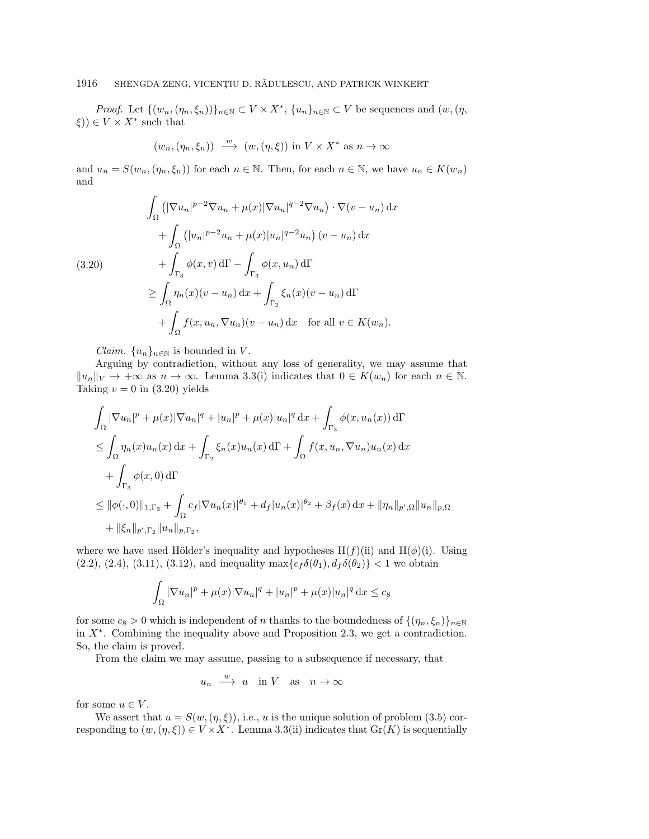*Proof.* Let  $\{ (w_n, (\eta_n, \xi_n))\}_{n\in \mathbb{N}} \subset V \times X^*$ ,  $\{ u_n\}_{n\in \mathbb{N}} \subset V$  be sequences and  $(w, (\eta , \xi_n))$  $\xi)$ )  $\in V \times X^*$  such that

$$
(w_n, (\eta_n, \xi_n)) \xrightarrow{w} (w, (\eta, \xi))
$$
 in  $V \times X^*$  as  $n \to \infty$ 

and  $u_n = S(w_n, (\eta_n, \xi_n))$  for each  $n \in \mathbb{N}$ . Then, for each  $n \in \Bbb{N}$ , we have  $u_n \in K(w_n)$ and

<span id="page-18-0"></span>
$$
\int_{\Omega} \left( |\nabla u_n|^{p-2} \nabla u_n + \mu(x) |\nabla u_n|^{q-2} \nabla u_n \right) \cdot \nabla (v - u_n) \, dx
$$
\n
$$
+ \int_{\Omega} \left( |u_n|^{p-2} u_n + \mu(x) |u_n|^{q-2} u_n \right) (v - u_n) \, dx
$$
\n
$$
+ \int_{\Gamma_3} \phi(x, v) \, d\Gamma - \int_{\Gamma_3} \phi(x, u_n) \, d\Gamma
$$
\n
$$
\geq \int_{\Omega} \eta_n(x) (v - u_n) \, dx + \int_{\Gamma_2} \xi_n(x) (v - u_n) \, d\Gamma
$$
\n
$$
+ \int_{\Omega} f(x, u_n, \nabla u_n) (v - u_n) \, dx \quad \text{for all } v \in K(w_n).
$$

*Claim.*  $\{u_n\}_{n\in \mathbb{N}}$  is bounded in V.

Arguing by contradiction, without any loss of generality, we may assume that  $\| u_n \|_V \rightarrow +\infty$  as  $n \rightarrow \infty$ . Lemma [3.3\(](#page-11-2)i) indicates that  $0 \in K(w_n)$  for each  $n \in \mathbb{N}$ . Taking  $v = 0$  in [\(3.20\)](#page-18-0) yields

$$
\int_{\Omega} |\nabla u_n|^p + \mu(x) |\nabla u_n|^q + |u_n|^p + \mu(x) |u_n|^q \, dx + \int_{\Gamma_3} \phi(x, u_n(x)) \, d\Gamma
$$
\n
$$
\leq \int_{\Omega} \eta_n(x) u_n(x) \, dx + \int_{\Gamma_2} \xi_n(x) u_n(x) \, d\Gamma + \int_{\Omega} f(x, u_n, \nabla u_n) u_n(x) \, dx
$$
\n
$$
+ \int_{\Gamma_3} \phi(x, 0) \, d\Gamma
$$
\n
$$
\leq ||\phi(\cdot, 0)||_{1, \Gamma_3} + \int_{\Omega} c_f |\nabla u_n(x)|^{\theta_1} + d_f |u_n(x)|^{\theta_2} + \beta_f(x) \, dx + ||\eta_n||_{p', \Omega} ||u_n||_{p, \Omega}
$$
\n
$$
+ ||\xi_n||_{p', \Gamma_2} ||u_n||_{p, \Gamma_2},
$$

where we have used Hölder's inequality and hypotheses  $H(f)(ii)$  and  $H(\phi)(i)$ . Using [\(2.2\)](#page-5-4), [\(2.4\)](#page-5-1), [\(3.11\)](#page-14-3), [\(3.12\)](#page-15-0), and inequality  $\max\{ c_f \delta (\theta_1), d_f \delta (\theta_2)\} < 1$  we obtain

$$
\int_{\Omega} |\nabla u_n|^p + \mu(x)|\nabla u_n|^q + |u_n|^p + \mu(x)|u_n|^q \,dx \leq c_8
$$

for some  $c_8 > 0$  which is independent of n thanks to the boundedness of  $\{ (\eta_n, \xi_n)\}_{n\in \mathbb{N}}$ in  $X^*$ . Combining the inequality above and Proposition [2.3,](#page-7-1) we get a contradiction. So, the claim is proved.

From the claim we may assume, passing to a subsequence if necessary, that

$$
u_n \xrightarrow{w} u \quad \text{in } V \quad \text{as} \quad n \to \infty
$$

for some  $u \in V$ .

We assert that  $u = S(w, (\eta , \xi ))$ , i.e., u is the unique solution of problem [\(3.5\)](#page-12-0) corresponding to  $(w, (\eta , \xi )) \in V \times X^*$ . Lemma [3.3\(](#page-11-2)ii) indicates that  $Gr(K)$  is sequentially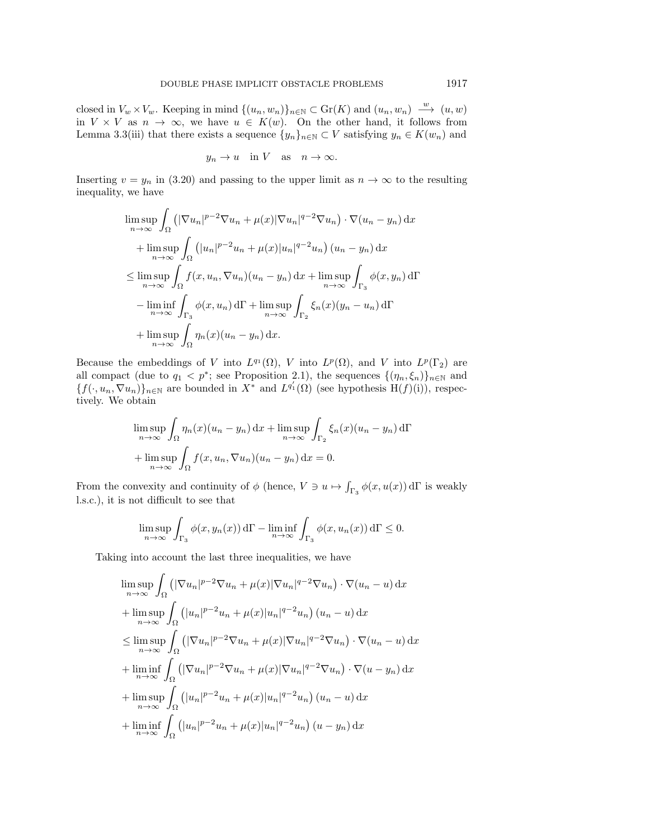closed in  $V_w \times V_w$ . Keeping in mind  $\{ (u_n, w_n)\}_{n\in \mathbb{N}} \subset \text{Gr}(K)$  and  $(u_n, w_n) \stackrel{w}{\longrightarrow} (u, w)$ in  $V \times V$  as  $n \to \infty$ , we have  $u \in K(w)$ . On the other hand, it follows from Lemma [3.3\(](#page-11-2)iii) that there exists a sequence  $\{ y_n\}_{n\in \mathbb{N}} \subset V$  satisfying  $y_n \in K(w_n)$  and

$$
y_n \to u
$$
 in V as  $n \to \infty$ .

Inserting  $v = y_n$  in [\(3.20\)](#page-18-0) and passing to the upper limit as  $n \rightarrow \infty$  to the resulting inequality, we have

$$
\limsup_{n \to \infty} \int_{\Omega} \left( |\nabla u_n|^{p-2} \nabla u_n + \mu(x) |\nabla u_n|^{q-2} \nabla u_n \right) \cdot \nabla (u_n - y_n) \, dx
$$
  
+ 
$$
\limsup_{n \to \infty} \int_{\Omega} \left( |u_n|^{p-2} u_n + \mu(x) |u_n|^{q-2} u_n \right) (u_n - y_n) \, dx
$$
  

$$
\leq \limsup_{n \to \infty} \int_{\Omega} f(x, u_n, \nabla u_n) (u_n - y_n) \, dx + \limsup_{n \to \infty} \int_{\Gamma_3} \phi(x, y_n) \, d\Gamma
$$
  
- 
$$
\liminf_{n \to \infty} \int_{\Gamma_3} \phi(x, u_n) \, d\Gamma + \limsup_{n \to \infty} \int_{\Gamma_2} \xi_n(x) (y_n - u_n) \, d\Gamma
$$
  
+ 
$$
\limsup_{n \to \infty} \int_{\Omega} \eta_n(x) (u_n - y_n) \, dx.
$$

Because the embeddings of V into  $L^{q_1}(\Omega)$ , V into  $L^p(\Omega)$ , and V into  $L^p(\Gamma_2)$  are all compact (due to  $q_1 < p^*$ ; see Proposition [2.1\)](#page-6-0), the sequences  $\{ (\eta_n, \xi_n) \}_{n \in \mathbb{N}}$  and  $\{ f(\cdot , u_n, \nabla u_n) \}_{n\in \mathbb{N}}$  are bounded in  $X^*$  and  $L^{q'_1}(\Omega)$  (see hypothesis  $H(f)(i)$ ), respectively. We obtain

$$
\limsup_{n \to \infty} \int_{\Omega} \eta_n(x) (u_n - y_n) dx + \limsup_{n \to \infty} \int_{\Gamma_2} \xi_n(x) (u_n - y_n) d\Gamma
$$
  
+ 
$$
\limsup_{n \to \infty} \int_{\Omega} f(x, u_n, \nabla u_n) (u_n - y_n) dx = 0.
$$

From the convexity and continuity of  $\phi$  (hence,  $V \ni u \mapsto \int_{\Gamma_3} \phi(x, u(x)) d\Gamma$  is weakly l.s.c.), it is not difficult to see that

$$
\limsup_{n \to \infty} \int_{\Gamma_3} \phi(x, y_n(x)) d\Gamma - \liminf_{n \to \infty} \int_{\Gamma_3} \phi(x, u_n(x)) d\Gamma \le 0.
$$

Taking into account the last three inequalities, we have

$$
\limsup_{n \to \infty} \int_{\Omega} \left( |\nabla u_n|^{p-2} \nabla u_n + \mu(x) |\nabla u_n|^{q-2} \nabla u_n \right) \cdot \nabla (u_n - u) \, dx
$$
\n
$$
+ \limsup_{n \to \infty} \int_{\Omega} \left( |u_n|^{p-2} u_n + \mu(x) |u_n|^{q-2} u_n \right) (u_n - u) \, dx
$$
\n
$$
\leq \limsup_{n \to \infty} \int_{\Omega} \left( |\nabla u_n|^{p-2} \nabla u_n + \mu(x) |\nabla u_n|^{q-2} \nabla u_n \right) \cdot \nabla (u_n - u) \, dx
$$
\n
$$
+ \liminf_{n \to \infty} \int_{\Omega} \left( |\nabla u_n|^{p-2} \nabla u_n + \mu(x) |\nabla u_n|^{q-2} \nabla u_n \right) \cdot \nabla (u - y_n) \, dx
$$
\n
$$
+ \limsup_{n \to \infty} \int_{\Omega} \left( |u_n|^{p-2} u_n + \mu(x) |u_n|^{q-2} u_n \right) (u_n - u) \, dx
$$
\n
$$
+ \liminf_{n \to \infty} \int_{\Omega} \left( |u_n|^{p-2} u_n + \mu(x) |u_n|^{q-2} u_n \right) (u - y_n) \, dx
$$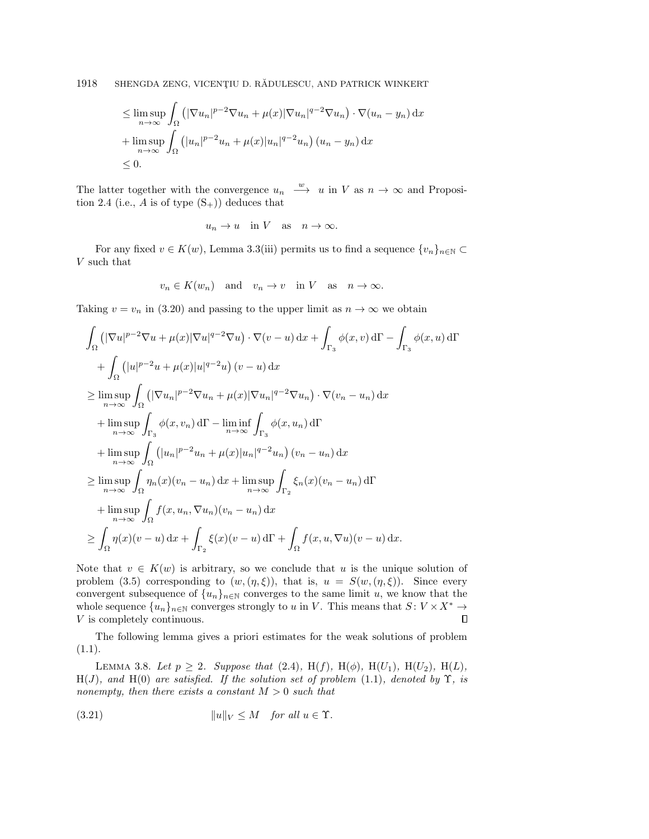$$
\leq \limsup_{n \to \infty} \int_{\Omega} \left( |\nabla u_n|^{p-2} \nabla u_n + \mu(x) |\nabla u_n|^{q-2} \nabla u_n \right) \cdot \nabla (u_n - y_n) \, dx
$$
  
+ 
$$
\limsup_{n \to \infty} \int_{\Omega} \left( |u_n|^{p-2} u_n + \mu(x) |u_n|^{q-2} u_n \right) (u_n - y_n) \, dx
$$
  

$$
\leq 0.
$$

The latter together with the convergence  $u_n \stackrel{w}{\longrightarrow} u$  in V as  $n \to \infty$  and Proposi-tion [2.4](#page-7-3) (i.e., A is of type  $(S_{+})$ ) deduces that

$$
u_n \to u
$$
 in V as  $n \to \infty$ .

For any fixed  $v \in K(w)$ , Lemma [3.3\(](#page-11-2)iii) permits us to find a sequence  $\{ v_n \}_{n\in \mathbb{N}} \subset$ V such that

$$
v_n \in K(w_n)
$$
 and  $v_n \to v$  in V as  $n \to \infty$ .

Taking  $v = v_n$  in [\(3.20\)](#page-18-0) and passing to the upper limit as  $n \rightarrow \infty$  we obtain

$$
\int_{\Omega} \left( |\nabla u|^{p-2} \nabla u + \mu(x) |\nabla u|^{q-2} \nabla u \right) \cdot \nabla (v - u) \, dx + \int_{\Gamma_3} \phi(x, v) \, d\Gamma - \int_{\Gamma_3} \phi(x, u) \, d\Gamma
$$
\n
$$
+ \int_{\Omega} \left( |u|^{p-2} u + \mu(x) |u|^{q-2} u \right) (v - u) \, dx
$$
\n
$$
\geq \limsup_{n \to \infty} \int_{\Omega} \left( |\nabla u_n|^{p-2} \nabla u_n + \mu(x) |\nabla u_n|^{q-2} \nabla u_n \right) \cdot \nabla (v_n - u_n) \, dx
$$
\n
$$
+ \limsup_{n \to \infty} \int_{\Gamma_3} \phi(x, v_n) \, d\Gamma - \liminf_{n \to \infty} \int_{\Gamma_3} \phi(x, u_n) \, d\Gamma
$$
\n
$$
+ \limsup_{n \to \infty} \int_{\Omega} \left( |u_n|^{p-2} u_n + \mu(x) |u_n|^{q-2} u_n \right) (v_n - u_n) \, dx
$$
\n
$$
\geq \limsup_{n \to \infty} \int_{\Omega} \eta_n(x) (v_n - u_n) \, dx + \limsup_{n \to \infty} \int_{\Gamma_2} \xi_n(x) (v_n - u_n) \, d\Gamma
$$
\n
$$
+ \limsup_{n \to \infty} \int_{\Omega} f(x, u_n, \nabla u_n) (v_n - u_n) \, dx
$$
\n
$$
\geq \int_{\Omega} \eta(x) (v - u) \, dx + \int_{\Gamma_2} \xi(x) (v - u) \, d\Gamma + \int_{\Omega} f(x, u, \nabla u) (v - u) \, dx.
$$

Note that  $v \in K(w)$  is arbitrary, so we conclude that u is the unique solution of problem [\(3.5\)](#page-12-0) corresponding to  $(w, (\eta, \xi ))$ , that is,  $u = S(w, (\eta , \xi ))$ . Since every convergent subsequence of  $\{ u_n \}_{n \in \mathbb{N}}$  converges to the same limit u, we know that the whole sequence  $\{ u_n \}_{n \in \mathbb{N}}$  converges strongly to u in V. This means that  $S : V \times X^* \rightarrow$ V is completely continuous.  $\Box$ 

The following lemma gives a priori estimates for the weak solutions of problem  $(1.1).$  $(1.1).$ 

<span id="page-20-1"></span>LEMMA 3.8. Let  $p \geq 2$ . Suppose that [\(2.4\)](#page-5-1), H(f), H( $\phi$ ), H( $U_1$ ), H( $U_2$ ), H( $L$ ),  $H(J)$ , and  $H(0)$  are satisfied. If the solution set of problem [\(1.1\)](#page-1-0), denoted by  $\Upsilon$ , is nonempty, then there exists a constant  $M > 0$  such that

<span id="page-20-0"></span>(3.21) 
$$
||u||_V \leq M \quad \text{for all } u \in \Upsilon.
$$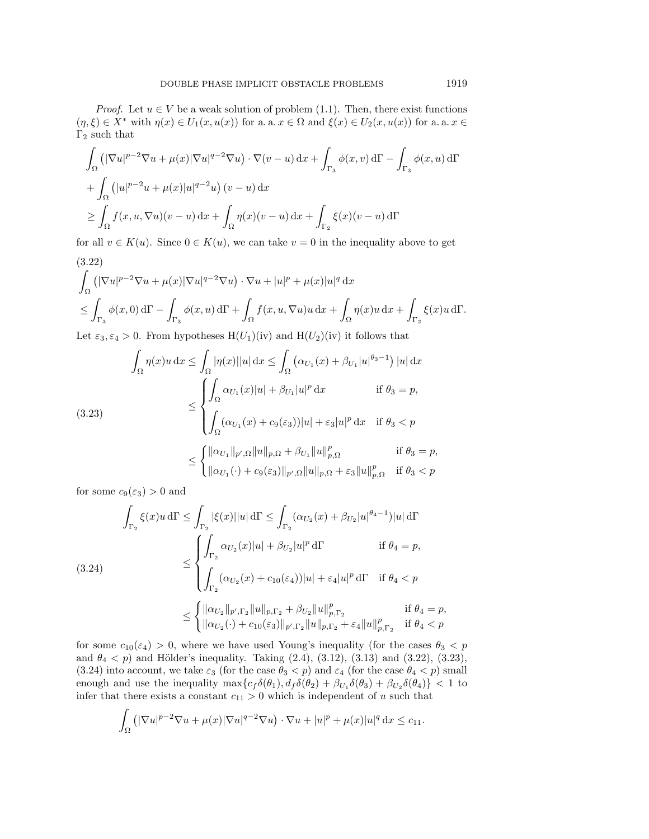*Proof.* Let  $u \in V$  be a weak solution of problem [\(1.1\)](#page-1-0). Then, there exist functions  $(\eta , \xi ) \in X^*$  with  $\eta (x) \in U_1(x, u(x))$  for a. a.  $x \in \Omega$  and  $\xi (x) \in U_2(x, u(x))$  for a. a.  $x \in \Omega$  $\Gamma_2$  such that

$$
\int_{\Omega} \left( |\nabla u|^{p-2} \nabla u + \mu(x) |\nabla u|^{q-2} \nabla u \right) \cdot \nabla (v - u) \, dx + \int_{\Gamma_3} \phi(x, v) \, d\Gamma - \int_{\Gamma_3} \phi(x, u) \, d\Gamma
$$
\n
$$
+ \int_{\Omega} \left( |u|^{p-2} u + \mu(x) |u|^{q-2} u \right) (v - u) \, dx
$$
\n
$$
\geq \int_{\Omega} f(x, u, \nabla u)(v - u) \, dx + \int_{\Omega} \eta(x) (v - u) \, dx + \int_{\Gamma_2} \xi(x) (v - u) \, d\Gamma
$$

for all  $v \in K(u)$ . Since  $0 \in K(u)$ , we can take  $v = 0$  in the inequality above to get (3.22)

<span id="page-21-0"></span>
$$
\int_{\Omega} \left( |\nabla u|^{p-2} \nabla u + \mu(x) |\nabla u|^{q-2} \nabla u \right) \cdot \nabla u + |u|^p + \mu(x) |u|^q \, dx
$$
\n
$$
\leq \int_{\Gamma_3} \phi(x,0) \, d\Gamma - \int_{\Gamma_3} \phi(x,u) \, d\Gamma + \int_{\Omega} f(x,u, \nabla u) u \, dx + \int_{\Omega} \eta(x) u \, dx + \int_{\Gamma_2} \xi(x) u \, d\Gamma.
$$

Let  $\varepsilon_3, \varepsilon_4 > 0$ . From hypotheses  $H(U_1)(iv)$  and  $H(U_2)(iv)$  it follows that

<span id="page-21-1"></span>
$$
\int_{\Omega} \eta(x)u \, dx \leq \int_{\Omega} |\eta(x)||u| \, dx \leq \int_{\Omega} (\alpha_{U_1}(x) + \beta_{U_1}|u|^{\theta_3 - 1}) |u| \, dx
$$
\n
$$
\leq \begin{cases}\n\int_{\Omega} \alpha_{U_1}(x)|u| + \beta_{U_1}|u|^p \, dx & \text{if } \theta_3 = p, \\
\int_{\Omega} (\alpha_{U_1}(x) + c_9(\varepsilon_3))|u| + \varepsilon_3|u|^p \, dx & \text{if } \theta_3 < p\n\end{cases}
$$
\n
$$
\leq \begin{cases}\n\|\alpha_{U_1}\|_{p',\Omega} \|u\|_{p,\Omega} + \beta_{U_1} \|u\|_{p,\Omega}^p & \text{if } \theta_3 = p, \\
\|\alpha_{U_1}(\cdot) + c_9(\varepsilon_3) \|_{p',\Omega} \|u\|_{p,\Omega} + \varepsilon_3 \|u\|_{p,\Omega}^p & \text{if } \theta_3 < p\n\end{cases}
$$

for some  $c_9(\varepsilon_3) > 0$  and

<span id="page-21-2"></span>
$$
\int_{\Gamma_2} \xi(x)u \,d\Gamma \le \int_{\Gamma_2} |\xi(x)||u| \,d\Gamma \le \int_{\Gamma_2} (\alpha_{U_2}(x) + \beta_{U_2}|u|^{\theta_4 - 1})|u| \,d\Gamma
$$
\n
$$
\le \begin{cases}\n\int_{\Gamma_2} \alpha_{U_2}(x)|u| + \beta_{U_2}|u|^p \,d\Gamma & \text{if } \theta_4 = p, \\
\int_{\Gamma_2} (\alpha_{U_2}(x) + c_{10}(\varepsilon_4))|u| + \varepsilon_4|u|^p \,d\Gamma & \text{if } \theta_4 < p\n\end{cases}
$$
\n
$$
\le \begin{cases}\n\|\alpha_{U_2}\|_{p',\Gamma_2} \|u\|_{p,\Gamma_2} + \beta_{U_2} \|u\|_{p,\Gamma_2}^p & \text{if } \theta_4 = p, \\
\|\alpha_{U_2}(\cdot) + c_{10}(\varepsilon_3)\|_{p',\Gamma_2} \|u\|_{p,\Gamma_2} + \varepsilon_4 \|u\|_{p,\Gamma_2}^p & \text{if } \theta_4 < p\n\end{cases}
$$

for some  $c_{10}(\varepsilon_4) > 0$ , where we have used Young's inequality (for the cases  $\theta_3 < p$ and  $\theta_4 < p$ ) and Hölder's inequality. Taking [\(2.4\)](#page-5-1), [\(3.12\)](#page-15-0), [\(3.13\)](#page-15-1) and [\(3.22\)](#page-21-0), [\(3.23\)](#page-21-1), [\(3.24\)](#page-21-2) into account, we take  $\varepsilon_3$  (for the case  $\theta_3 < p$ ) and  $\varepsilon_4$  (for the case  $\theta_4 < p$ ) small enough and use the inequality  $\max\{ c_f \delta (\theta_1), d_f \delta (\theta_2) + \beta_{U_1} \delta (\theta_3) + \beta_{U_2} \delta (\theta_4) \} < 1$  to infer that there exists a constant  $c_{11} > 0$  which is independent of u such that

$$
\int_{\Omega} \left( |\nabla u|^{p-2} \nabla u + \mu(x) |\nabla u|^{q-2} \nabla u \right) \cdot \nabla u + |u|^p + \mu(x) |u|^q \, \mathrm{d}x \leq c_{11}.
$$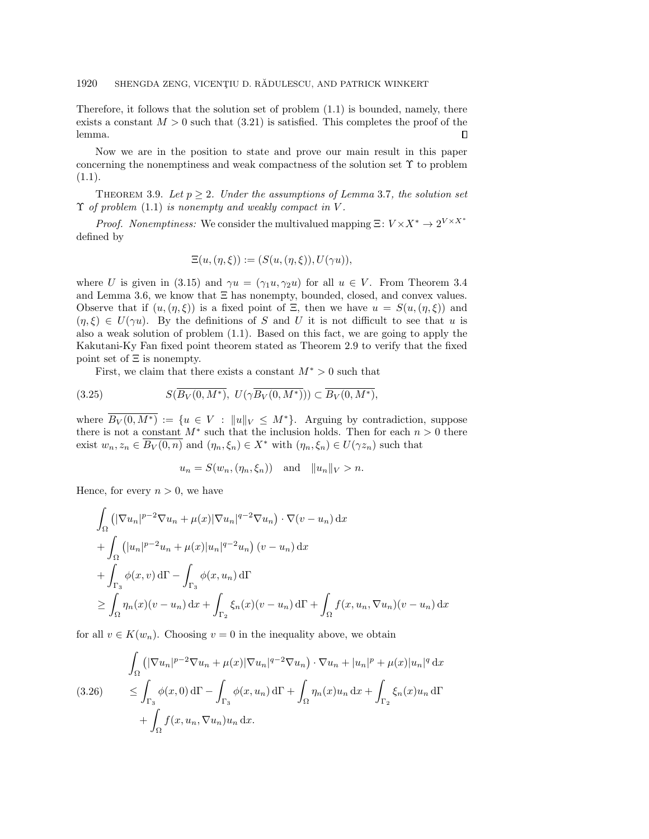Therefore, it follows that the solution set of problem  $(1.1)$  is bounded, namely, there exists a constant  $M > 0$  such that  $(3.21)$  is satisfied. This completes the proof of the lemma.  $\Box$ 

Now we are in the position to state and prove our main result in this paper concerning the nonemptiness and weak compactness of the solution set  $\Upsilon$  to problem  $(1.1).$  $(1.1).$ 

<span id="page-22-2"></span>THEOREM 3.9. Let  $p \geq 2$ . Under the assumptions of Lemma [3.7](#page-17-2), the solution set  $\Upsilon$  of problem [\(1.1\)](#page-1-0) is nonempty and weakly compact in V.

*Proof.* Nonemptiness: We consider the multivalued mapping  $\Xi : V \times X^* \rightarrow 2^{V \times X^*}$ defined by

$$
\Xi(u, (\eta, \xi)) := (S(u, (\eta, \xi)), U(\gamma u)),
$$

where U is given in [\(3.15\)](#page-16-2) and  $\gamma u = (\gamma_1 u, \gamma_2 u)$  for all  $u \in V$ . From Theorem [3.4](#page-12-1) and Lemma [3.6,](#page-16-3) we know that  $\Xi$  has nonempty, bounded, closed, and convex values. Observe that if  $(u,(\eta , \xi ))$  is a fixed point of  $\Xi$ , then we have  $u = S(u,(\eta , \xi ))$  and  $(\eta , \xi ) \in U(\gamma u)$ . By the definitions of S and U it is not difficult to see that u is also a weak solution of problem [\(1.1\)](#page-1-0). Based on this fact, we are going to apply the Kakutani-Ky Fan fixed point theorem stated as Theorem [2.9](#page-9-2) to verify that the fixed point set of  $\Xi$  is nonempty.

First, we claim that there exists a constant  $M^* > 0$  such that

<span id="page-22-1"></span>
$$
(3.25) \tS(\overline{B_V(0,M^*)},\ U(\gamma\overline{B_V(0,M^*)})) \subset \overline{B_V(0,M^*)},
$$

where  $\overline{B_V(0, M^*)} := \{ u \in V : \| u \|_V \leq M^* \}$ . Arguing by contradiction, suppose there is not a constant  $M^*$  such that the inclusion holds. Then for each  $n > 0$  there exist  $w_n, z_n \in \overline{B_V (0, n)}$  and  $(\eta_n, \xi_n) \in X^*$  with  $(\eta_n, \xi_n) \in U(\gamma z_n)$  such that

$$
u_n = S(w_n, (\eta_n, \xi_n)) \quad \text{and} \quad ||u_n||_V > n.
$$

Hence, for every  $n > 0$ , we have

$$
\int_{\Omega} \left( |\nabla u_n|^{p-2} \nabla u_n + \mu(x) |\nabla u_n|^{q-2} \nabla u_n \right) \cdot \nabla (v - u_n) \, dx
$$
\n
$$
+ \int_{\Omega} \left( |u_n|^{p-2} u_n + \mu(x) |u_n|^{q-2} u_n \right) (v - u_n) \, dx
$$
\n
$$
+ \int_{\Gamma_3} \phi(x, v) \, d\Gamma - \int_{\Gamma_3} \phi(x, u_n) \, d\Gamma
$$
\n
$$
\geq \int_{\Omega} \eta_n(x) (v - u_n) \, dx + \int_{\Gamma_2} \xi_n(x) (v - u_n) \, d\Gamma + \int_{\Omega} f(x, u_n, \nabla u_n) (v - u_n) \, dx
$$

for all  $v \in K(w_n)$ . Choosing  $v = 0$  in the inequality above, we obtain

<span id="page-22-0"></span>
$$
\int_{\Omega} \left( |\nabla u_n|^{p-2} \nabla u_n + \mu(x) |\nabla u_n|^{q-2} \nabla u_n \right) \cdot \nabla u_n + |u_n|^p + \mu(x) |u_n|^q \, dx
$$
\n
$$
\leq \int_{\Gamma_3} \phi(x, 0) \, d\Gamma - \int_{\Gamma_3} \phi(x, u_n) \, d\Gamma + \int_{\Omega} \eta_n(x) u_n \, dx + \int_{\Gamma_2} \xi_n(x) u_n \, d\Gamma
$$
\n
$$
+ \int_{\Omega} f(x, u_n, \nabla u_n) u_n \, dx.
$$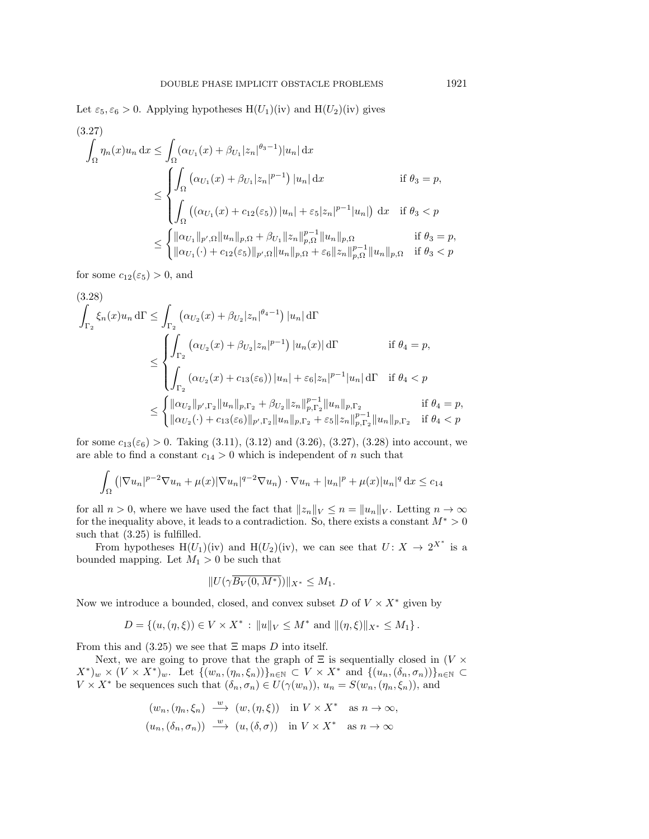Let  $\varepsilon_5, \varepsilon_6 > 0$ . Applying hypotheses H(U<sub>1</sub>)(iv) and H(U<sub>2</sub>)(iv) gives

<span id="page-23-0"></span>
$$
(3.27)
$$
\n
$$
\int_{\Omega} \eta_n(x) u_n \, dx \le \int_{\Omega} (\alpha_{U_1}(x) + \beta_{U_1} |z_n|^{\theta_3 - 1}) |u_n| \, dx
$$
\n
$$
\le \int_{\Omega} (\alpha_{U_1}(x) + \beta_{U_1} |z_n|^{p-1}) |u_n| \, dx \qquad \text{if } \theta_3 = p,
$$
\n
$$
\le \int_{\Omega} ((\alpha_{U_1}(x) + c_{12}(\varepsilon_5)) |u_n| + \varepsilon_5 |z_n|^{p-1} |u_n|) \, dx \quad \text{if } \theta_3 < p
$$
\n
$$
\le \begin{cases}\n\|\alpha_{U_1}\|_{p',\Omega} \|u_n\|_{p,\Omega} + \beta_{U_1} \|z_n\|_{p,\Omega}^{p-1} \|u_n\|_{p,\Omega} & \text{if } \theta_3 = p, \\
\|\alpha_{U_1}(\cdot) + c_{12}(\varepsilon_5) \|_{p',\Omega} \|u_n\|_{p,\Omega} + \varepsilon_6 \|z_n\|_{p,\Omega}^{p-1} \|u_n\|_{p,\Omega} & \text{if } \theta_3 < p\n\end{cases}
$$

for some  $c_{12}(\varepsilon_5) > 0$ , and

<span id="page-23-1"></span>
$$
(3.28)
$$
\n
$$
\int_{\Gamma_2} \xi_n(x) u_n d\Gamma \le \int_{\Gamma_2} \left( \alpha_{U_2}(x) + \beta_{U_2} |z_n|^{\theta_4 - 1} \right) |u_n| d\Gamma
$$
\n
$$
\le \begin{cases}\n\int_{\Gamma_2} \left( \alpha_{U_2}(x) + \beta_{U_2} |z_n|^{p-1} \right) |u_n(x)| d\Gamma & \text{if } \theta_4 = p, \\
\int_{\Gamma_2} \left( \alpha_{U_2}(x) + c_{13}(\varepsilon_6) \right) |u_n| + \varepsilon_6 |z_n|^{p-1} |u_n| d\Gamma & \text{if } \theta_4 < p\n\end{cases}
$$
\n
$$
\le \begin{cases}\n\| \alpha_{U_2} \|_{p', \Gamma_2} \| u_n \|_{p, \Gamma_2} + \beta_{U_2} \| z_n \|_{p, \Gamma_2}^{p-1} \| u_n \|_{p, \Gamma_2} & \text{if } \theta_4 = p, \\
\| \alpha_{U_2}(\cdot) + c_{13}(\varepsilon_6) \|_{p', \Gamma_2} \| u_n \|_{p, \Gamma_2} + \varepsilon_5 \| z_n \|_{p, \Gamma_2}^{p-1} \| u_n \|_{p, \Gamma_2} & \text{if } \theta_4 < p.\n\end{cases}
$$

for some  $c_{13}(\varepsilon_6) > 0$ . Taking [\(3.11\)](#page-14-3), [\(3.12\)](#page-15-0) and [\(3.26\)](#page-22-0), [\(3.27\)](#page-23-0), [\(3.28\)](#page-23-1) into account, we are able to find a constant  $c_{14} > 0$  which is independent of  $n$  such that

$$
\int_{\Omega} \left( |\nabla u_n|^{p-2} \nabla u_n + \mu(x) |\nabla u_n|^{q-2} \nabla u_n \right) \cdot \nabla u_n + |u_n|^p + \mu(x) |u_n|^q \, dx \le c_{14}
$$

for all  $n > 0$ , where we have used the fact that  $\| z_n \|_V \leq n = \| u_n \|_V$ . Letting  $n \to \infty$ for the inequality above, it leads to a contradiction. So, there exists a constant  $M^* > 0$ such that  $(3.25)$  is fulfilled.

From hypotheses H(U<sub>1</sub>)(iv) and H(U<sub>2</sub>)(iv), we can see that  $U: X \rightarrow 2^{X^*}$  is a bounded mapping. Let  $M_1 > 0$  be such that

$$
||U(\gamma \overline{B_V(0,M^*)})||_{X^*} \le M_1.
$$

Now we introduce a bounded, closed, and convex subset D of  $V \times X^*$  given by

$$
D = \{(u, (\eta, \xi)) \in V \times X^* : ||u||_V \le M^* \text{ and } ||(\eta, \xi)||_{X^*} \le M_1 \}.
$$

From this and [\(3.25\)](#page-22-1) we see that  $\Xi$  maps D into itself.

Next, we are going to prove that the graph of  $\Xi$  is sequentially closed in (V  $\times$  $(X^*)_w \times (V \times X^*)_w$ . Let  $\{ (w_n,(\eta_n, \xi_n))\}_{n\in \mathbb{N}} \subset V \times X^*$  and  $\{ (u_n,(\delta_n, \sigma_n))\}_{n\in \mathbb{N}} \subset$  $V \times X^*$  be sequences such that  $(\delta_n, \sigma_n) \in U(\gamma (w_n)), u_n = S(w_n,(\eta_n, \xi_n)),$  and

$$
(w_n, (\eta_n, \xi_n) \xrightarrow{w} (w, (\eta, \xi)) \text{ in } V \times X^* \text{ as } n \to \infty,
$$
  

$$
(u_n, (\delta_n, \sigma_n)) \xrightarrow{w} (u, (\delta, \sigma)) \text{ in } V \times X^* \text{ as } n \to \infty
$$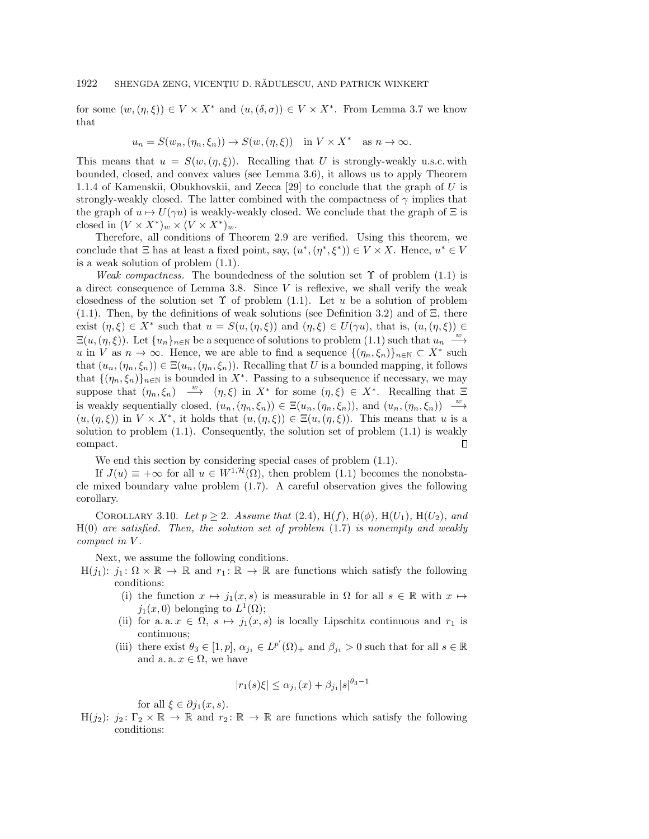for some  $(w, (\eta , \xi )) \in V \times X^*$  and  $(u, (\delta , \sigma )) \in V \times X^*$ . From Lemma [3.7](#page-17-2) we know that

$$
u_n = S(w_n, (\eta_n, \xi_n)) \to S(w, (\eta, \xi)) \quad \text{in } V \times X^* \quad \text{as } n \to \infty.
$$

This means that  $u = S(w, (\eta, \xi))$ . Recalling that U is strongly-weakly u.s.c. with bounded, closed, and convex values (see Lemma [3.6\)](#page-16-3), it allows us to apply Theorem 1.1.4 of Kamenskii, Obukhovskii, and Zecca [\[29\]](#page-27-25) to conclude that the graph of U is strongly-weakly closed. The latter combined with the compactness of  $\gamma$  implies that the graph of  $u \mapsto U(\gamma u)$  is weakly-weakly closed. We conclude that the graph of  $\Xi$  is closed in  $(V \times X^*)_w \times (V \times X^*)_w$ .

Therefore, all conditions of Theorem [2.9](#page-9-2) are verified. Using this theorem, we conclude that  $\Xi$  has at least a fixed point, say,  $(u^*,(\eta^*, \xi^*)) \in V \times X$ . Hence,  $u^* \in V$ is a weak solution of problem [\(1.1\)](#page-1-0).

Weak compactness. The boundedness of the solution set  $\Upsilon$  of problem [\(1.1\)](#page-1-0) is a direct consequence of Lemma [3.8.](#page-20-1) Since  $V$  is reflexive, we shall verify the weak closedness of the solution set  $\Upsilon$  of problem [\(1.1\)](#page-1-0). Let u be a solution of problem [\(1.1\)](#page-1-0). Then, by the definitions of weak solutions (see Definition [3.2\)](#page-10-3) and of  $\Xi$ , there exist  $(\eta , \xi ) \in X^*$  such that  $u = S(u,(\eta , \xi ))$  and  $(\eta , \xi ) \in U(\gamma u)$ , that is,  $(u,(\eta , \xi )) \in$  $\Xi (u,(\eta , \xi ))$ . Let  $\{ u_n\}_{n\in \mathbb{N}}$  be a sequence of solutions to problem [\(1.1\)](#page-1-0) such that  $u_n \stackrel{w}{\longrightarrow}$ u in V as  $n \to \infty$ . Hence, we are able to find a sequence  $\{ (\eta_n, \xi_n)\}_{n\in \mathbb{N}} \subset X^*$  such that  $(u_n, (\eta_n, \xi_n)) \in \Xi (u_n,(\eta_n,\xi_n))$ . Recalling that U is a bounded mapping, it follows that  $\{ (\eta_n, \xi_n) \}_{n \in \mathbb{N}}$  is bounded in  $X^*$ . Passing to a subsequence if necessary, we may suppose that  $(\eta_n, \xi_n) \stackrel{w}{\longrightarrow} (\eta, \xi)$  in  $X^*$  for some  $(\eta, \xi) \in X^*$ . Recalling that  $\Xi$ is weakly sequentially closed,  $(u_n, (\eta_n, \xi_n)) \in \Xi (u_n,(\eta_n, \xi_n))$ , and  $(u_n,(\eta_n, \xi_n)) \xrightarrow{w}$  $(u,(\eta , \xi ))$  in  $V \times X^*$ , it holds that  $(u,(\eta , \xi )) \in \Xi(u,(\eta , \xi ))$ . This means that u is a solution to problem  $(1.1)$ . Consequently, the solution set of problem  $(1.1)$  is weakly compact.  $\Box$ 

We end this section by considering special cases of problem [\(1.1\)](#page-1-0).

If  $J(u) \equiv +\infty$  for all  $u \in W^{1,\mathcal{H}} (\Omega)$ , then problem [\(1.1\)](#page-1-0) becomes the nonobstacle mixed boundary value problem [\(1.7\)](#page-3-2). A careful observation gives the following corollary.

<span id="page-24-0"></span>COROLLARY 3.10. Let  $p \geq 2$ . Assume that [\(2.4\)](#page-5-1), H(f), H( $\phi$ ), H( $U_1$ ), H( $U_2$ ), and  $H(0)$  are satisfied. Then, the solution set of problem  $(1.7)$  is nonempty and weakly compact in V .

Next, we assume the following conditions.

- $H(j_1): j_1: \Omega \times \Bbb R \rightarrow \Bbb R$  and  $r_1: \Bbb R \rightarrow \Bbb R$  are functions which satisfy the following conditions:
	- (i) the function  $x \mapsto j_1(x, s)$  is measurable in  $\Omega$  for all  $s \in \mathbb{R}$  with  $x \mapsto$  $j_1(x,0)$  belonging to  $L^1(\Omega);$
	- (ii) for a. a.  $x \in \Omega$ ,  $s \mapsto j_1(x, s)$  is locally Lipschitz continuous and  $r_1$  is continuous;
	- (iii) there exist  $\theta_3 \in [1, p], \alpha_{j_1} \in L^{p'}(\Omega)_+$  and  $\beta_{j_1} > 0$  such that for all  $s \in \mathbb{R}$ and a. a.  $x \in \Omega$ , we have

$$
|r_1(s)\xi| \le \alpha_{j_1}(x) + \beta_{j_1}|s|^{\theta_3 - 1}
$$

for all  $\xi \in \partial j_1(x, s)$ .

H(j<sub>2</sub>): j<sub>2</sub>:  $\Gamma_2 \times \Bbb R \rightarrow \Bbb R$  and  $r_2 \colon \Bbb R \rightarrow \Bbb R$  are functions which satisfy the following conditions: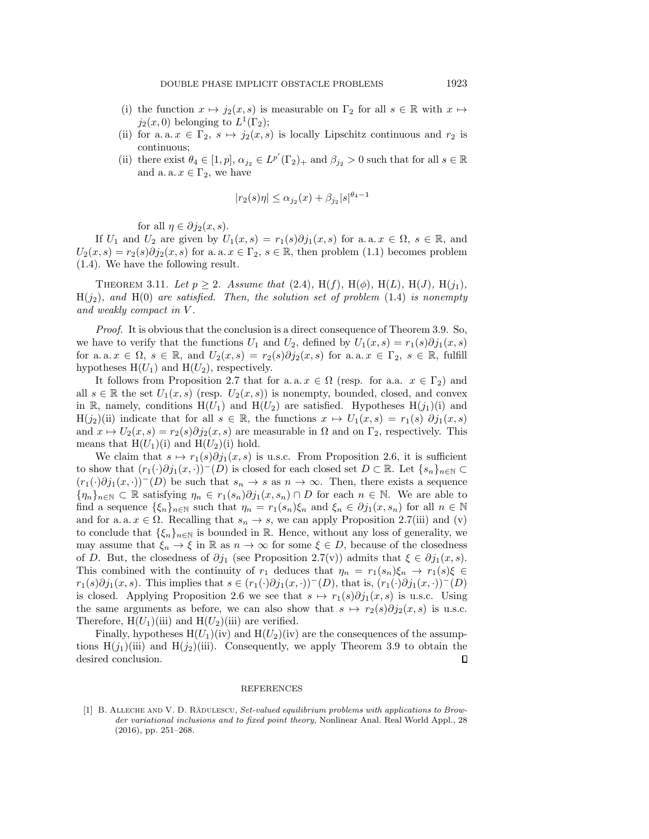- (i) the function  $x \mapsto j_2(x, s)$  is measurable on  $\Gamma_2$  for all  $s \in \mathbb{R}$  with  $x \mapsto$  $j_2(x,0)$  belonging to  $L^1(\Gamma_2);$
- (ii) for a. a.  $x \in \Gamma_2$ ,  $s \mapsto j_2(x, s)$  is locally Lipschitz continuous and  $r_2$  is continuous;
- (ii) there exist  $\theta_4 \in [1, p], \alpha_{j_2} \in L^{p'}(\Gamma_2)_+$  and  $\beta_{j_2} > 0$  such that for all  $s \in \mathbb{R}$ and a. a.  $x \in \Gamma_2$ , we have

$$
|r_2(s)\eta| \le \alpha_{j_2}(x) + \beta_{j_2}|s|^{\theta_4 - 1}
$$

for all  $\eta \in \partial j_2(x, s)$ .

If  $U_1$  and  $U_2$  are given by  $U_1(x, s) = r_1(s)\partial j_1(x, s)$  for a. a.  $x \in \Omega , s \in \mathbb{R}$ , and  $U_2(x, s) = r_2(s)\partial j_2(x, s)$  for a. a.  $x \in \Gamma_2, s \in \mathbb{R}$ , then problem [\(1.1\)](#page-1-0) becomes problem [\(1.4\)](#page-2-0). We have the following result.

<span id="page-25-1"></span>THEOREM 3.11. Let  $p \geq 2$ . Assume that [\(2.4\)](#page-5-1), H(f), H( $\phi$ ), H(L), H(J), H(j<sub>1</sub>),  $H(j_2)$ , and  $H(0)$  are satisfied. Then, the solution set of problem [\(1.4\)](#page-2-0) is nonempty and weakly compact in V .

Proof. It is obvious that the conclusion is a direct consequence of Theorem [3.9.](#page-22-2) So, we have to verify that the functions  $U_1$  and  $U_2$ , defined by  $U_1(x, s) = r_1(s)\partial j_1(x, s)$ for a. a.  $x \in \Omega$ ,  $s \in \mathbb{R}$ , and  $U_2(x, s) = r_2(s)\partial j_2(x, s)$  for a. a.  $x \in \Gamma_2$ ,  $s \in \mathbb{R}$ , fulfill hypotheses  $H(U_1)$  and  $H(U_2)$ , respectively.

It follows from Proposition [2.7](#page-8-1) that for a.a.  $x \in \Omega$  (resp. for a.a.  $x \in \Gamma_2$ ) and all  $s \in \mathbb{R}$  the set  $U_1(x, s)$  (resp.  $U_2(x, s)$ ) is nonempty, bounded, closed, and convex in  $\Bbb R$ , namely, conditions  $H(U_1)$  and  $H(U_2)$  are satisfied. Hypotheses  $H(j_1)(i)$  and  $H(j_2)(ii)$  indicate that for all  $s \in \Bbb R$ , the functions  $x \mapsto U_1(x, s) = r_1(s) \partial j_1(x, s)$ and  $x \mapsto U_2(x, s) = r_2(s)\partial j_2(x, s)$  are measurable in  $\Omega$  and on  $\Gamma_2$ , respectively. This means that  $H(U_1)(i)$  and  $H(U_2)(i)$  hold.

We claim that  $s \mapsto r_1(s)\partial j_1(x, s)$  is u.s.c. From Proposition [2.6,](#page-7-2) it is sufficient to show that  $(r_1(\cdot )\partial j_1(x, \cdot ))^-(D)$  is closed for each closed set  $D \subset \mathbb{R}$ . Let  $\{ s_n\}_{n\in \mathbb{N}} \subset$  $(r_1(\cdot )\partial j_1(x, \cdot ))^-(D)$  be such that  $s_n \rightarrow s$  as  $n \rightarrow \infty$ . Then, there exists a sequence  $\{ \eta_n \}_{n \in \mathbb{N}} \subset \mathbb{R}$  satisfying  $\eta_n \in r_1(s_n)\partial j_1(x, s_n) \cap D$  for each  $n \in \mathbb{N}$ . We are able to find a sequence  $\{ \xi_n \}_{n\in \mathbb{N}}$  such that  $\eta_n = r_1(s_n)\xi_n$  and  $\xi_n \in \partial j_1(x, s_n)$  for all  $n \in \mathbb{N}$ and for a. a.  $x \in \Omega$ . Recalling that  $s_n \rightarrow s$ , we can apply Proposition [2.7\(](#page-8-1)iii) and (v) to conclude that  $\{ \xi_n \}_{n\in \mathbb{N}}$  is bounded in  $\Bbb R$ . Hence, without any loss of generality, we may assume that  $\xi_n \rightarrow \xi$  in  $\Bbb R$  as  $n \rightarrow \infty$  for some  $\xi \in D$ , because of the closedness of D. But, the closedness of  $\partial j_1$  (see Proposition [2.7\(](#page-8-1)v)) admits that  $\xi \in \partial j_1(x, s)$ . This combined with the continuity of  $r_1$  deduces that  $\eta_n = r_1(s_n)\xi_n \rightarrow r_1(s)\xi \in$  $r_1(s)\partial j_1(x, s)$ . This implies that  $s \in (r_1(\cdot )\partial j_1(x, \cdot ))^-(D)$ , that is,  $(r_1(\cdot )\partial j_1(x, \cdot ))^-(D)$ is closed. Applying Proposition [2.6](#page-7-2) we see that  $s \mapsto r_1(s)\partial j_1(x, s)$  is u.s.c. Using the same arguments as before, we can also show that  $s \mapsto \overline{r}_2(s)\partial j_2(x, s)$  is u.s.c. Therefore,  $H(U_1)(iii)$  and  $H(U_2)(iii)$  are verified.

Finally, hypotheses  $H(U_1)(iv)$  and  $H(U_2)(iv)$  are the consequences of the assumptions  $H(j_1)(iii)$  and  $H(j_2)(iii)$ . Consequently, we apply Theorem [3.9](#page-22-2) to obtain the desired conclusion. □

## REFERENCES

<span id="page-25-0"></span>[1] B. ALLECHE AND V. D. RADULESCU, Set-valued equilibrium problems with applications to Browder variational inclusions and to fixed point theory, Nonlinear Anal. Real World Appl., 28  $(2016)$ , pp.  $251-268$ .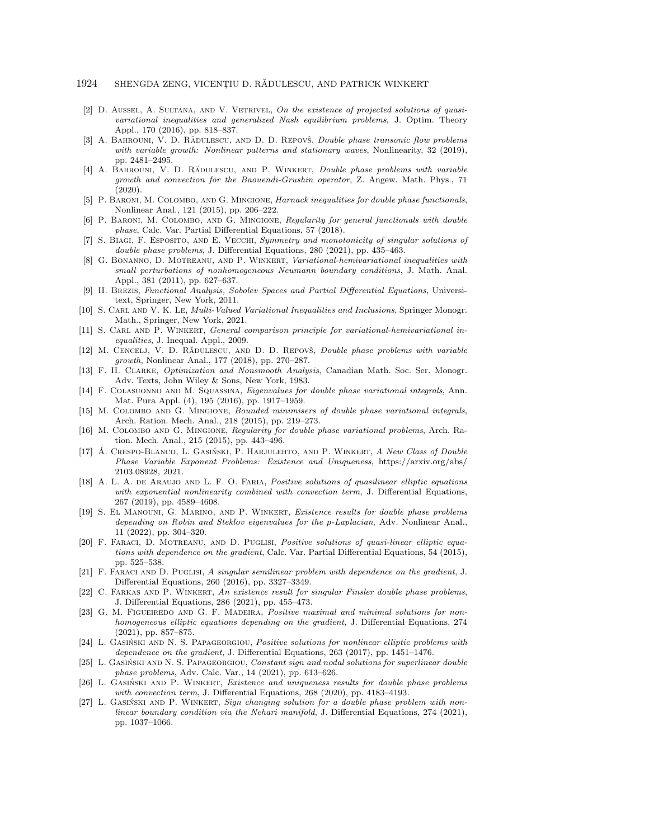- <span id="page-26-11"></span>[2] D. AUSSEL, A. SULTANA, AND V. VETRIVEL, On the existence of projected solutions of quasivariational inequalities and generalized Nash equilibrium problems, J. Optim. Theory Appl., 170 (2016), pp. 818–837.
- <span id="page-26-16"></span>[3] A. BAHROUNI, V. D. RĂDULESCU, AND D. D. REPOVŠ, *Double phase transonic flow problems* with variable growth: Nonlinear patterns and stationary waves, Nonlinearity, 32 (2019), pp. 2481-2495.
- <span id="page-26-17"></span>[4] A. BAHROUNI, V. D. RĂDULESCU, AND P. WINKERT, *Double phase problems with variable* growth and convection for the Baouendi-Grushin operator, Z. Angew. Math. Phys., 71 (2020).
- <span id="page-26-0"></span>[5] P. BARONI, M. COLOMBO, AND G. MINGIONE, Harnack inequalities for double phase functionals, Nonlinear Anal., 121 (2015), pp. 206-222.
- <span id="page-26-1"></span>[6] P. BARONI, M. COLOMBO, AND G. MINGIONE, Regularity for general functionals with double phase, Calc. Var. Partial Differential Equations, 57 (2018).
- <span id="page-26-18"></span>[7] S. BIAGI, F. ESPOSITO, AND E. VECCHI, Symmetry and monotonicity of singular solutions of double phase problems, J. Differential Equations, 280 (2021), pp. 435-463.
- <span id="page-26-12"></span>[8] G. BONANNO, D. MOTREANU, AND P. WINKERT, Variational-hemivariational inequalities with small perturbations of nonhomogeneous Neumann boundary conditions, J. Math. Anal. Appl., 381 (2011), pp. 627-637.
- <span id="page-26-25"></span>[9] H. Brezis, Functional Analysis, Sobolev Spaces and Partial Differential Equations, Universitext, Springer, New York, 2011.
- <span id="page-26-14"></span>[10] S. CARL AND V. K. Le, *Multi-Valued Variational Inequalities and Inclusions*, Springer Monogr. Math., Springer, New York, 2021.
- <span id="page-26-13"></span>[11] S. CARL AND P. WINKERT, General comparison principle for variational-hemivariational inequalities, J. Inequal. Appl., 2009.
- <span id="page-26-19"></span>[12] M. CENCELJ, V. D. RĂDULESCU, AND D. D. REPOVŠ, Double phase problems with variable  $growth$ , Nonlinear Anal., 177 (2018), pp. 270-287.
- <span id="page-26-10"></span>[13] F. H. Clarke, Optimization and Nonsmooth Analysis, Canadian Math. Soc. Ser. Monogr. Adv. Texts, John Wiley \& Sons, New York, 1983.
- <span id="page-26-20"></span>[14] F. Colasuonno and M. Squassina, Eigenvalues for double phase variational integrals, Ann. Mat. Pura Appl. (4), 195 (2016), pp. 1917-1959.
- <span id="page-26-2"></span>[15] M. Colombo and G. Mingione, Bounded minimisers of double phase variational integrals, Arch. Ration. Mech. Anal., 218 (2015), pp. 219–273.
- <span id="page-26-3"></span>[16] M. COLOMBO AND G. MINGIONE, Regularity for double phase variational problems, Arch. Ration. Mech. Anal., 215 (2015), pp. 443-496.
- <span id="page-26-24"></span>[17] A. CRESPO-BLANCO, L. GASIŃSKI, P. HARJULEHTO, AND P. WINKERT, A New Class of Double Phase Variable Exponent Problems: Existence and Uniqueness, [https://arxiv.org/abs/](https://arxiv.org/abs/2103.08928) [2103.08928,](https://arxiv.org/abs/2103.08928) 2021.
- <span id="page-26-4"></span>[18] A. L. A. DE ARAUJO AND L. F. O. FARIA, Positive solutions of quasilinear elliptic equations with exponential nonlinearity combined with convection term, J. Differential Equations, 267 (2019), pp. 4589-4608.
- <span id="page-26-5"></span>[19] S. El Manouni, G. Marino, and P. Winkert, Existence results for double phase problems depending on Robin and Steklov eigenvalues for the p-Laplacian, Adv. Nonlinear Anal.,  $11$   $(2022)$ , pp.  $304-320$ .
- <span id="page-26-6"></span>[20] F. FARACI, D. MOTREANU, AND D. PUGLISI, Positive solutions of quasi-linear elliptic equations with dependence on the gradient, Calc. Var. Partial Differential Equations, 54 (2015), pp. 525--538.
- <span id="page-26-7"></span>[21] F. FARACI AND D. PUGLISI, A singular semilinear problem with dependence on the gradient, J. Differential Equations, 260 (2016), pp. 3327-3349.
- <span id="page-26-21"></span>[22] C. Farkas and P. Winkert, An existence result for singular Finsler double phase problems, J. Differential Equations, 286 (2021), pp. 455--473.
- <span id="page-26-8"></span>[23] G. M. FIGUEIREDO AND G. F. MADEIRA, Positive maximal and minimal solutions for nonhomogeneous elliptic equations depending on the gradient, J. Differential Equations, 274  $(2021)$ , pp. 857-875.
- <span id="page-26-9"></span>[24] L. GASIŃSKI AND N. S. PAPAGEORGIOU, Positive solutions for nonlinear elliptic problems with dependence on the gradient, J. Differential Equations,  $263$  ( $2017$ ), pp.  $1451-1476$ .
- <span id="page-26-22"></span>[25] L. GASIŃSKI AND N. S. PAPAGEORGIOU, Constant sign and nodal solutions for superlinear double phase problems, Adv. Calc. Var., 14 (2021), pp. 613–626.
- <span id="page-26-15"></span>[26] L. GASIŃSKI AND P. WINKERT, *Existence and uniqueness results for double phase problems* with convection term, J. Differential Equations,  $268$  (2020), pp. 4183-4193.
- <span id="page-26-23"></span>[27] L. GASIŃSKI AND P. WINKERT, Sign changing solution for a double phase problem with nonlinear boundary condition via the Nehari manifold, J. Differential Equations, 274 (2021), pp. 1037-1066.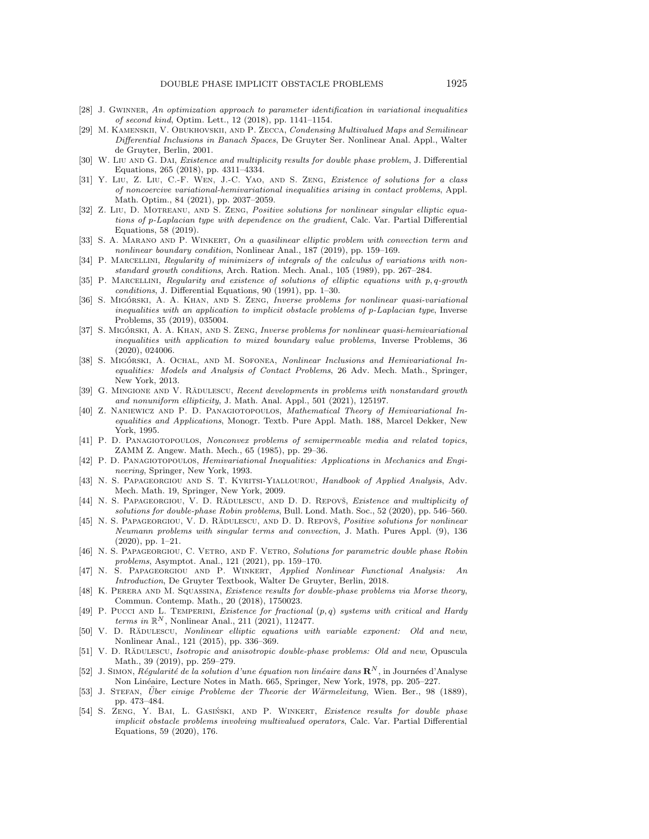- <span id="page-27-12"></span>[28] J. GWINNER, An optimization approach to parameter identification in variational inequalities of second kind, Optim. Lett., 12 (2018), pp. 1141-1154.
- <span id="page-27-25"></span>[29] M. Kamenskii, V. Obukhovskii, and P. Zecca, Condensing Multivalued Maps and Semilinear Differential Inclusions in Banach Spaces, De Gruyter Ser. Nonlinear Anal. Appl., Walter de Gruyter, Berlin, 2001.
- <span id="page-27-14"></span>[30] W. Liu AND G. DAI, *Existence and multiplicity results for double phase problem*, J. Differential Equations, 265 (2018), pp. 4311-4334.
- <span id="page-27-23"></span>[31] Y. Liu, Z. Liu, C.-F. Wen, J.-C. Yao, and S. Zeng, Existence of solutions for a class of noncoercive variational-hemivariational inequalities arising in contact problems, Appl. Math. Optim., 84 (2021), pp. 2037-2059.
- <span id="page-27-3"></span>[32] Z. LIU, D. MOTREANU, AND S. ZENG, Positive solutions for nonlinear singular elliptic equations of p-Laplacian type with dependence on the gradient, Calc. Var. Partial Differential Equations, 58 (2019).
- <span id="page-27-4"></span>[33] S. A. MARANO AND P. WINKERT, On a quasilinear elliptic problem with convection term and nonlinear boundary condition, Nonlinear Anal., 187 (2019), pp. 159-169.
- <span id="page-27-2"></span>[34] P. MARCELLINI, Regularity of minimizers of integrals of the calculus of variations with nonstandard growth conditions, Arch. Ration. Mech. Anal., 105 (1989), pp. 267–284.
- <span id="page-27-1"></span>[35] P. MARCELLINI, Regularity and existence of solutions of elliptic equations with p, q-growth  $conditions, J.$  Differential Equations, 90 (1991), pp. 1-30.
- <span id="page-27-11"></span>[36] S. MIGÓRSKI, A. A. KHAN, AND S. ZENG, Inverse problems for nonlinear quasi-variational inequalities with an application to implicit obstacle problems of p-Laplacian type, Inverse Problems, 35 (2019), 035004.
- <span id="page-27-10"></span>[37] S. MIGÓRSKI, A. A. KHAN, AND S. ZENG, *Inverse problems for nonlinear quasi-hemivariational* inequalities with application to mixed boundary value problems, Inverse Problems, 36 (2020), 024006.
- <span id="page-27-22"></span>[38] S. MIGÓRSKI, A. OCHAL, AND M. SOFONEA, Nonlinear Inclusions and Hemivariational Inequalities: Models and Analysis of Contact Problems, 26 Adv. Mech. Math., Springer, New York, 2013.
- <span id="page-27-20"></span>[39] G. MINGIONE AND V. RADULESCU, Recent developments in problems with nonstandard growth and nonuniform ellipticity, J. Math. Anal. Appl., 501 (2021), 125197.
- <span id="page-27-9"></span>[40] Z. Naniewicz and P. D. Panagiotopoulos, Mathematical Theory of Hemivariational Inequalities and Applications, Monogr. Textb. Pure Appl. Math. 188, Marcel Dekker, New York, 1995.
- <span id="page-27-7"></span>[41] P. D. Panagiotopoulos, Nonconvex problems of semipermeable media and related topics, ZAMM Z. Angew. Math. Mech., 65 (1985), pp. 29-36.
- <span id="page-27-8"></span>[42] P. D. Panagiotopoulos, Hemivariational Inequalities: Applications in Mechanics and Engineering, Springer, New York, 1993.
- <span id="page-27-24"></span>[43] N. S. PAPAGEORGIOU AND S. T. KYRITSI-YIALLOUROU, Handbook of Applied Analysis, Adv. Mech. Math. 19, Springer, New York, 2009.
- <span id="page-27-15"></span>[44] N. S. PAPAGEORGIOU, V. D. RĂDULESCU, AND D. D. REPOVŠ, Existence and multiplicity of solutions for double-phase Robin problems, Bull. Lond. Math. Soc., 52 (2020), pp. 546-560.
- <span id="page-27-5"></span>[45] N. S. PAPAGEORGIOU, V. D. RĂDULESCU, AND D. D. REPOVŠ, Positive solutions for nonlinear Neumann problems with singular terms and convection, J. Math. Pures Appl. (9), 136  $(2020)$ , pp. 1-21.
- <span id="page-27-16"></span>[46] N. S. PAPAGEORGIOU, C. VETRO, AND F. VETRO, Solutions for parametric double phase Robin problems, Asymptot. Anal., 121 (2021), pp. 159-170.
- <span id="page-27-26"></span>[47] N. S. Papageorgiou and P. Winkert, Applied Nonlinear Functional Analysis: An Introduction, De Gruyter Textbook, Walter De Gruyter, Berlin, 2018.
- <span id="page-27-17"></span>[48] K. PERERA AND M. SQUASSINA, Existence results for double-phase problems via Morse theory, Commun. Contemp. Math., 20 (2018), 1750023.
- <span id="page-27-6"></span>[49] P. PUCCI AND L. TEMPERINI, Existence for fractional  $(p, q)$  systems with critical and Hardy terms in  $\mathbb R^N$ , Nonlinear Anal., 211 (2021), 112477.
- <span id="page-27-18"></span>[50] V. D. RADULESCU, Nonlinear elliptic equations with variable exponent: Old and new, Nonlinear Anal., 121 (2015), pp. 336-369.
- <span id="page-27-19"></span>[51] V. D. RĂDULESCU, Isotropic and anisotropic double-phase problems: Old and new, Opuscula Math., 39 (2019), pp. 259-279.
- <span id="page-27-21"></span>[52] J. SIMON, Régularité de la solution d'une équation non linéaire dans  $\mathbb{R}^N$ , in Journées d'Analyse Non Linéaire, Lecture Notes in Math. 665, Springer, New York, 1978, pp. 205-227.
- <span id="page-27-0"></span>[53] J. STEFAN, Über einige Probleme der Theorie der Wärmeleitung, Wien. Ber., 98 (1889), pp. 473-484.
- <span id="page-27-13"></span>[54] S. ZENG, Y. BAI, L. GASIŃSKI, AND P. WINKERT, Existence results for double phase implicit obstacle problems involving multivalued operators, Calc. Var. Partial Differential Equations, 59 (2020), 176.